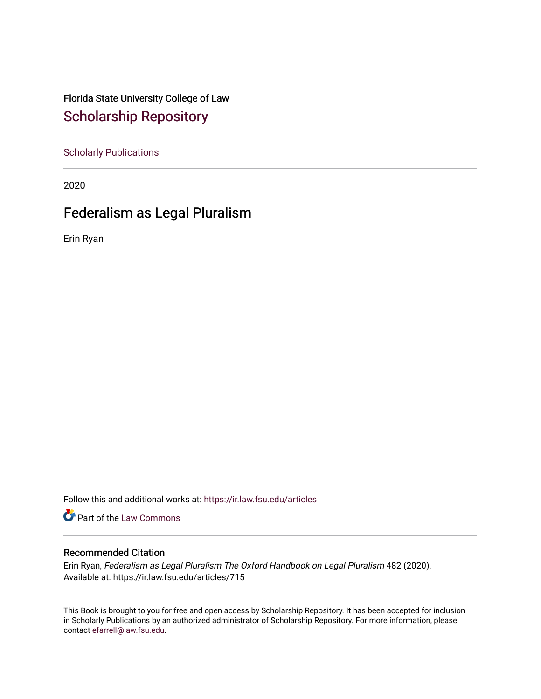Florida State University College of Law [Scholarship Repository](https://ir.law.fsu.edu/) 

[Scholarly Publications](https://ir.law.fsu.edu/articles) 

2020

# Federalism as Legal Pluralism

Erin Ryan

Follow this and additional works at: [https://ir.law.fsu.edu/articles](https://ir.law.fsu.edu/articles?utm_source=ir.law.fsu.edu%2Farticles%2F715&utm_medium=PDF&utm_campaign=PDFCoverPages) 

Part of the [Law Commons](https://network.bepress.com/hgg/discipline/578?utm_source=ir.law.fsu.edu%2Farticles%2F715&utm_medium=PDF&utm_campaign=PDFCoverPages)

### Recommended Citation

Erin Ryan, Federalism as Legal Pluralism The Oxford Handbook on Legal Pluralism 482 (2020), Available at: https://ir.law.fsu.edu/articles/715

This Book is brought to you for free and open access by Scholarship Repository. It has been accepted for inclusion in Scholarly Publications by an authorized administrator of Scholarship Repository. For more information, please contact [efarrell@law.fsu.edu](mailto:efarrell@law.fsu.edu).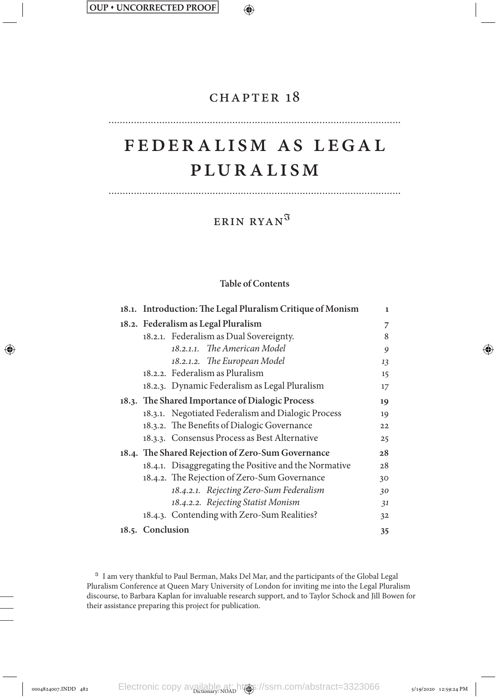↔

## CHAPTER 18

⊕

# Feder alism as Legal Pluralism

Erin Ryan<sup>ℑ</sup>

### **Table of Contents**

| 18.1. Introduction: The Legal Pluralism Critique of Monism | 1  |
|------------------------------------------------------------|----|
| 18.2. Federalism as Legal Pluralism                        | 7  |
| 18.2.1. Federalism as Dual Sovereignty.                    | 8  |
| 18.2.1.1. The American Model                               | 9  |
| 18.2.1.2. The European Model                               | 13 |
| 18.2.2. Federalism as Pluralism                            | 15 |
| 18.2.3. Dynamic Federalism as Legal Pluralism              | 17 |
| 18.3. The Shared Importance of Dialogic Process            | 19 |
| 18.3.1. Negotiated Federalism and Dialogic Process         | 19 |
| 18.3.2. The Benefits of Dialogic Governance                | 22 |
| 18.3.3. Consensus Process as Best Alternative              | 25 |
| 18.4. The Shared Rejection of Zero-Sum Governance          | 28 |
| 18.4.1. Disaggregating the Positive and the Normative      | 28 |
| 18.4.2. The Rejection of Zero-Sum Governance               | 30 |
| 18.4.2.1. Rejecting Zero-Sum Federalism                    | 30 |
| 18.4.2.2. Rejecting Statist Monism                         | 31 |
| 18.4.3. Contending with Zero-Sum Realities?                | 32 |
| 18.5. Conclusion                                           | 35 |

<sup>ℑ</sup> I am very thankful to Paul Berman, Maks Del Mar, and the participants of the Global Legal Pluralism Conference at Queen Mary University of London for inviting me into the Legal Pluralism discourse, to Barbara Kaplan for invaluable research support, and to Taylor Schock and Jill Bowen for their assistance preparing this project for publication.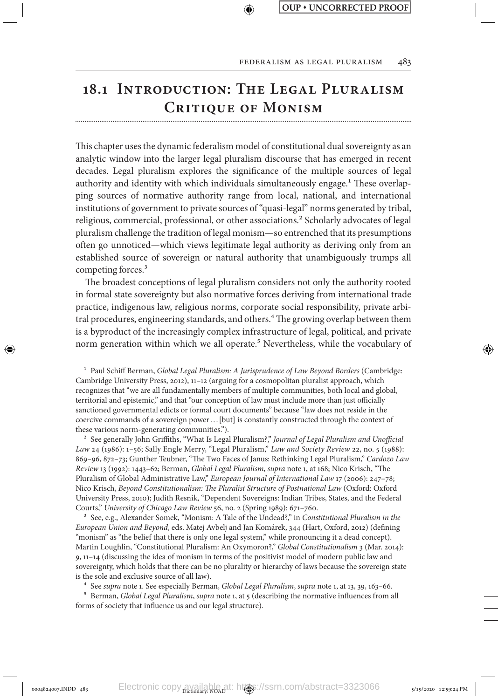# **18.1 Introduction: The Legal Pluralism Critique of Monism**

↔

This chapter uses the dynamic federalism model of constitutional dual sovereignty as an analytic window into the larger legal pluralism discourse that has emerged in recent decades. Legal pluralism explores the significance of the multiple sources of legal authority and identity with which individuals simultaneously engage.<sup>1</sup> These overlapping sources of normative authority range from local, national, and international institutions of government to private sources of "quasi-legal" norms generated by tribal, religious, commercial, professional, or other associations.<sup>2</sup> Scholarly advocates of legal pluralism challenge the tradition of legal monism—so entrenched that its presumptions often go unnoticed—which views legitimate legal authority as deriving only from an established source of sovereign or natural authority that unambiguously trumps all competing forces.<sup>3</sup>

The broadest conceptions of legal pluralism considers not only the authority rooted in formal state sovereignty but also normative forces deriving from international trade practice, indigenous law, religious norms, corporate social responsibility, private arbitral procedures, engineering standards, and others.<sup>4</sup> The growing overlap between them is a byproduct of the increasingly complex infrastructure of legal, political, and private norm generation within which we all operate.<sup>5</sup> Nevertheless, while the vocabulary of

1 Paul Schiff Berman, *Global Legal Pluralism: A Jurisprudence of Law Beyond Borders* (Cambridge: Cambridge University Press, 2012), 11–12 (arguing for a cosmopolitan pluralist approach, which recognizes that "we are all fundamentally members of multiple communities, both local and global, territorial and epistemic," and that "our conception of law must include more than just officially sanctioned governmental edicts or formal court documents" because "law does not reside in the coercive commands of a sovereign power. . .[but] is constantly constructed through the context of these various norm-generating communities.").

⊕

2 See generally John Griffiths, "What Is Legal Pluralism?," *Journal of Legal Pluralism and Unofficial Law* 24 (1986): 1–56; Sally Engle Merry, "Legal Pluralism," *Law and Society Review* 22, no. 5 (1988): 869–96, 872–73; Gunther Teubner, "The Two Faces of Janus: Rethinking Legal Pluralism," *Cardozo Law Review* 13 (1992): 1443–62; Berman, *Global Legal Pluralism*, *supra* note 1, at 168; Nico Krisch, "The Pluralism of Global Administrative Law," *European Journal of International Law* 17 (2006): 247–78; Nico Krisch, *Beyond Constitutionalism: The Pluralist Structure of Postnational Law* (Oxford: Oxford University Press, 2010); Judith Resnik, "Dependent Sovereigns: Indian Tribes, States, and the Federal Courts," *University of Chicago Law Review* 56, no. 2 (Spring 1989): 671–760.

3 See, e.g., Alexander Somek, "Monism: A Tale of the Undead?," in *Constitutional Pluralism in the European Union and Beyond*, eds. Matej Avbelj and Jan Komárek, 344 (Hart, Oxford, 2012) (defining "monism" as "the belief that there is only one legal system," while pronouncing it a dead concept). Martin Loughlin, "Constitutional Pluralism: An Oxymoron?," *Global Constitutionalism* 3 (Mar. 2014): 9, 11–14 (discussing the idea of monism in terms of the positivist model of modern public law and sovereignty, which holds that there can be no plurality or hierarchy of laws because the sovereign state is the sole and exclusive source of all law).

4 See *supra* note 1. See especially Berman, *Global Legal Pluralism*, *supra* note 1, at 13, 39, 163–66.

5 Berman, *Global Legal Pluralism*, *supra* note 1, at 5 (describing the normative influences from all forms of society that influence us and our legal structure).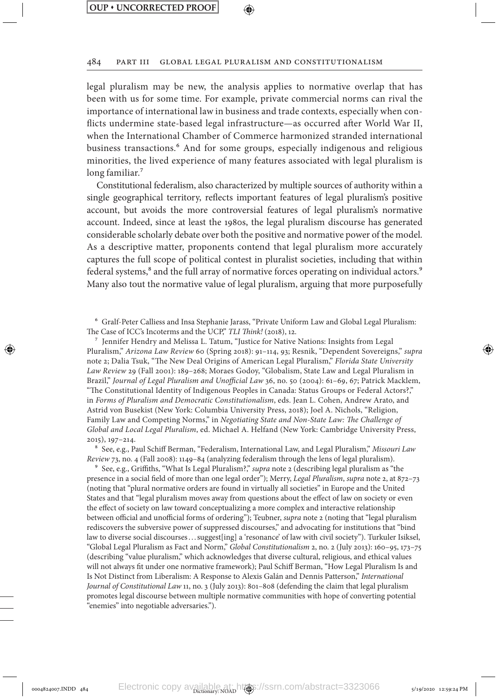⊕

#### 484 Part III Global Legal Pluralism and Constitutionalism

legal pluralism may be new, the analysis applies to normative overlap that has been with us for some time. For example, private commercial norms can rival the importance of international law in business and trade contexts, especially when conflicts undermine state-based legal infrastructure—as occurred after World War II, when the International Chamber of Commerce harmonized stranded international business transactions.<sup>6</sup> And for some groups, especially indigenous and religious minorities, the lived experience of many features associated with legal pluralism is long familiar.<sup>7</sup>

Constitutional federalism, also characterized by multiple sources of authority within a single geographical territory, reflects important features of legal pluralism's positive account, but avoids the more controversial features of legal pluralism's normative account. Indeed, since at least the 1980s, the legal pluralism discourse has generated considerable scholarly debate over both the positive and normative power of the model. As a descriptive matter, proponents contend that legal pluralism more accurately captures the full scope of political contest in pluralist societies, including that within federal systems,<sup>8</sup> and the full array of normative forces operating on individual actors.<sup>9</sup> Many also tout the normative value of legal pluralism, arguing that more purposefully

6 Gralf-Peter Calliess and Insa Stephanie Jarass, "Private Uniform Law and Global Legal Pluralism: The Case of ICC's Incoterms and the UCP," *TLI Think!* (2018), 12.

7 Jennifer Hendry and Melissa L. Tatum, "Justice for Native Nations: Insights from Legal Pluralism," *Arizona Law Review* 60 (Spring 2018): 91–114, 93; Resnik, "Dependent Sovereigns," *supra* note 2; Dalia Tsuk, "The New Deal Origins of American Legal Pluralism," *Florida State University Law Review* 29 (Fall 2001): 189–268; Moraes Godoy, "Globalism, State Law and Legal Pluralism in Brazil," *Journal of Legal Pluralism and Unofficial Law* 36, no. 50 (2004): 61–69, 67; Patrick Macklem, "The Constitutional Identity of Indigenous Peoples in Canada: Status Groups or Federal Actors?," in *Forms of Pluralism and Democratic Constitutionalism*, eds. Jean L. Cohen, Andrew Arato, and Astrid von Busekist (New York: Columbia University Press, 2018); Joel A. Nichols, "Religion, Family Law and Competing Norms," in *Negotiating State and Non-State Law: The Challenge of Global and Local Legal Pluralism*, ed. Michael A. Helfand (New York: Cambridge University Press, 2015), 197–214.

8 See, e.g., Paul Schiff Berman, "Federalism, International Law, and Legal Pluralism," *Missouri Law Review* 73, no. 4 (Fall 2008): 1149–84 (analyzing federalism through the lens of legal pluralism).

9 See, e.g., Griffiths, "What Is Legal Pluralism?," *supra* note 2 (describing legal pluralism as "the presence in a social field of more than one legal order"); Merry, *Legal Pluralism*, *supra* note 2, at 872–73 (noting that "plural normative orders are found in virtually all societies" in Europe and the United States and that "legal pluralism moves away from questions about the effect of law on society or even the effect of society on law toward conceptualizing a more complex and interactive relationship between official and unofficial forms of ordering"); Teubner, *supra* note 2 (noting that "legal pluralism rediscovers the subversive power of suppressed discourses," and advocating for institutions that "bind law to diverse social discourses... suggest[ing] a 'resonance' of law with civil society"). Turkuler Isiksel, "Global Legal Pluralism as Fact and Norm," *Global Constitutionalism* 2, no. 2 (July 2013): 160–95, 173–75 (describing "value pluralism," which acknowledges that diverse cultural, religious, and ethical values will not always fit under one normative framework); Paul Schiff Berman, "How Legal Pluralism Is and Is Not Distinct from Liberalism: A Response to Alexis Galán and Dennis Patterson," *International Journal of Constitutional Law* 11, no. 3 (July 2013): 801–808 (defending the claim that legal pluralism promotes legal discourse between multiple normative communities with hope of converting potential "enemies" into negotiable adversaries.").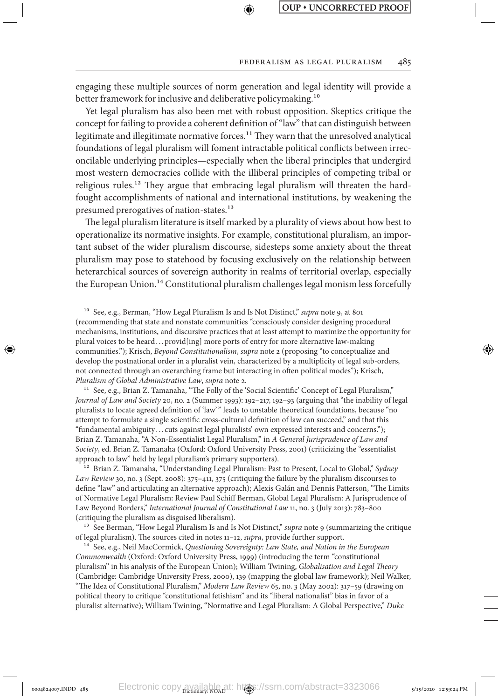#### FEDERALISM AS LEGAL PLURALISM 485

engaging these multiple sources of norm generation and legal identity will provide a better framework for inclusive and deliberative policymaking.<sup>10</sup>

Yet legal pluralism has also been met with robust opposition. Skeptics critique the concept for failing to provide a coherent definition of "law" that can distinguish between legitimate and illegitimate normative forces.11 They warn that the unresolved analytical foundations of legal pluralism will foment intractable political conflicts between irreconcilable underlying principles—especially when the liberal principles that undergird most western democracies collide with the illiberal principles of competing tribal or religious rules.<sup>12</sup> They argue that embracing legal pluralism will threaten the hardfought accomplishments of national and international institutions, by weakening the presumed prerogatives of nation-states.<sup>13</sup>

The legal pluralism literature is itself marked by a plurality of views about how best to operationalize its normative insights. For example, constitutional pluralism, an important subset of the wider pluralism discourse, sidesteps some anxiety about the threat pluralism may pose to statehood by focusing exclusively on the relationship between heterarchical sources of sovereign authority in realms of territorial overlap, especially the European Union.<sup>14</sup> Constitutional pluralism challenges legal monism less forcefully

<sup>10</sup> See, e.g., Berman, "How Legal Pluralism Is and Is Not Distinct," *supra* note 9, at 801 (recommending that state and nonstate communities "consciously consider designing procedural mechanisms, institutions, and discursive practices that at least attempt to maximize the opportunity for plural voices to be heard...provid[ing] more ports of entry for more alternative law-making communities."); Krisch, *Beyond Constitutionalism*, *supra* note 2 (proposing "to conceptualize and develop the postnational order in a pluralist vein, characterized by a multiplicity of legal sub-orders, not connected through an overarching frame but interacting in often political modes"); Krisch, *Pluralism of Global Administrative Law*, *supra* note 2.

<sup>11</sup> See, e.g., Brian Z. Tamanaha, "The Folly of the 'Social Scientific' Concept of Legal Pluralism," *Journal of Law and Society* 20, no. 2 (Summer 1993): 192–217, 192–93 (arguing that "the inability of legal pluralists to locate agreed definition of 'law'" leads to unstable theoretical foundations, because "no attempt to formulate a single scientific cross-cultural definition of law can succeed," and that this "fundamental ambiguity . . . cuts against legal pluralists' own expressed interests and concerns."); Brian Z. Tamanaha, "A Non-Essentialist Legal Pluralism," in *A General Jurisprudence of Law and Society*, ed. Brian Z. Tamanaha (Oxford: Oxford University Press, 2001) (criticizing the "essentialist approach to law" held by legal pluralism's primary supporters).

12 Brian Z. Tamanaha, "Understanding Legal Pluralism: Past to Present, Local to Global," *Sydney Law Review* 30, no. 3 (Sept. 2008): 375–411, 375 (critiquing the failure by the pluralism discourses to define "law" and articulating an alternative approach); Alexis Galán and Dennis Patterson, "The Limits of Normative Legal Pluralism: Review Paul Schiff Berman, Global Legal Pluralism: A Jurisprudence of Law Beyond Borders," *International Journal of Constitutional Law* 11, no. 3 (July 2013): 783–800 (critiquing the pluralism as disguised liberalism).

13 See Berman, "How Legal Pluralism Is and Is Not Distinct," *supra* note 9 (summarizing the critique of legal pluralism). The sources cited in notes 11–12, *supra*, provide further support.

14 See, e.g., Neil MacCormick, *Questioning Sovereignty: Law State, and Nation in the European Commonwealth* (Oxford: Oxford University Press, 1999) (introducing the term "constitutional pluralism" in his analysis of the European Union); William Twining, *Globalisation and Legal Theory* (Cambridge: Cambridge University Press, 2000), 139 (mapping the global law framework); Neil Walker, "The Idea of Constitutional Pluralism," *Modern Law Review* 65, no. 3 (May 2002): 317–59 (drawing on political theory to critique "constitutional fetishism" and its "liberal nationalist" bias in favor of a pluralist alternative); William Twining, "Normative and Legal Pluralism: A Global Perspective," *Duke*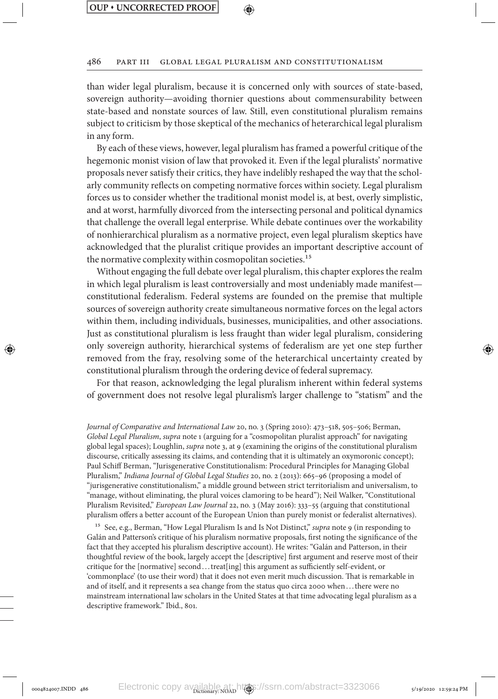⊕

↔

#### 486 Part III Global Legal Pluralism and Constitutionalism

than wider legal pluralism, because it is concerned only with sources of state-based, sovereign authority—avoiding thornier questions about commensurability between state-based and nonstate sources of law. Still, even constitutional pluralism remains subject to criticism by those skeptical of the mechanics of heterarchical legal pluralism in any form.

By each of these views, however, legal pluralism has framed a powerful critique of the hegemonic monist vision of law that provoked it. Even if the legal pluralists' normative proposals never satisfy their critics, they have indelibly reshaped the way that the scholarly community reflects on competing normative forces within society. Legal pluralism forces us to consider whether the traditional monist model is, at best, overly simplistic, and at worst, harmfully divorced from the intersecting personal and political dynamics that challenge the overall legal enterprise. While debate continues over the workability of nonhierarchical pluralism as a normative project, even legal pluralism skeptics have acknowledged that the pluralist critique provides an important descriptive account of the normative complexity within cosmopolitan societies.<sup>15</sup>

Without engaging the full debate over legal pluralism, this chapter explores the realm in which legal pluralism is least controversially and most undeniably made manifest constitutional federalism. Federal systems are founded on the premise that multiple sources of sovereign authority create simultaneous normative forces on the legal actors within them, including individuals, businesses, municipalities, and other associations. Just as constitutional pluralism is less fraught than wider legal pluralism, considering only sovereign authority, hierarchical systems of federalism are yet one step further removed from the fray, resolving some of the heterarchical uncertainty created by constitutional pluralism through the ordering device of federal supremacy.

For that reason, acknowledging the legal pluralism inherent within federal systems of government does not resolve legal pluralism's larger challenge to "statism" and the

*Journal of Comparative and International Law* 20, no. 3 (Spring 2010): 473–518, 505–506; Berman, *Global Legal Pluralism*, *supra* note 1 (arguing for a "cosmopolitan pluralist approach" for navigating global legal spaces); Loughlin, *supra* note 3, at 9 (examining the origins of the constitutional pluralism discourse, critically assessing its claims, and contending that it is ultimately an oxymoronic concept); Paul Schiff Berman, "Jurisgenerative Constitutionalism: Procedural Principles for Managing Global Pluralism," *Indiana Journal of Global Legal Studies* 20, no. 2 (2013): 665–96 (proposing a model of "jurisgenerative constitutionalism," a middle ground between strict territorialism and universalism, to "manage, without eliminating, the plural voices clamoring to be heard"); Neil Walker, "Constitutional Pluralism Revisited," *European Law Journal* 22, no. 3 (May 2016): 333–55 (arguing that constitutional pluralism offers a better account of the European Union than purely monist or federalist alternatives).

15 See, e.g., Berman, "How Legal Pluralism Is and Is Not Distinct," *supra* note 9 (in responding to Galán and Patterson's critique of his pluralism normative proposals, first noting the significance of the fact that they accepted his pluralism descriptive account). He writes: "Galán and Patterson, in their thoughtful review of the book, largely accept the [descriptive] first argument and reserve most of their critique for the [normative] second. . .treat[ing] this argument as sufficiently self-evident, or 'commonplace' (to use their word) that it does not even merit much discussion. That is remarkable in and of itself, and it represents a sea change from the status quo circa 2000 when. . .there were no mainstream international law scholars in the United States at that time advocating legal pluralism as a descriptive framework." Ibid., 801.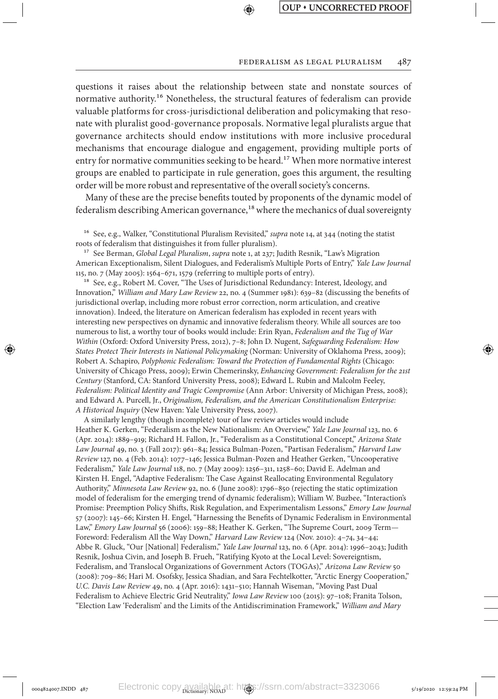#### FEDERALISM AS LEGAL PLURALISM 487

questions it raises about the relationship between state and nonstate sources of normative authority.<sup>16</sup> Nonetheless, the structural features of federalism can provide valuable platforms for cross-jurisdictional deliberation and policymaking that resonate with pluralist good-governance proposals. Normative legal pluralists argue that governance architects should endow institutions with more inclusive procedural mechanisms that encourage dialogue and engagement, providing multiple ports of entry for normative communities seeking to be heard.<sup>17</sup> When more normative interest groups are enabled to participate in rule generation, goes this argument, the resulting order will be more robust and representative of the overall society's concerns.

Many of these are the precise benefits touted by proponents of the dynamic model of federalism describing American governance,<sup>18</sup> where the mechanics of dual sovereignty

16 See, e.g., Walker, "Constitutional Pluralism Revisited," *supra* note 14, at 344 (noting the statist roots of federalism that distinguishes it from fuller pluralism).

17 See Berman, *Global Legal Pluralism*, *supra* note 1, at 237; Judith Resnik, "Law's Migration American Exceptionalism, Silent Dialogues, and Federalism's Multiple Ports of Entry," *Yale Law Journal* 115, no. 7 (May 2005): 1564–671, 1579 (referring to multiple ports of entry).

<sup>18</sup> See, e.g., Robert M. Cover, "The Uses of Jurisdictional Redundancy: Interest, Ideology, and Innovation," *William and Mary Law Review* 22, no. 4 (Summer 1981): 639–82 (discussing the benefits of jurisdictional overlap, including more robust error correction, norm articulation, and creative innovation). Indeed, the literature on American federalism has exploded in recent years with interesting new perspectives on dynamic and innovative federalism theory. While all sources are too numerous to list, a worthy tour of books would include: Erin Ryan, *Federalism and the Tug of War Within* (Oxford: Oxford University Press, 2012), 7–8; John D. Nugent, *Safeguarding Federalism: How States Protect Their Interests in National Policymaking* (Norman: University of Oklahoma Press, 2009); Robert A. Schapiro, *Polyphonic Federalism: Toward the Protection of Fundamental Rights* (Chicago: University of Chicago Press, 2009); Erwin Chemerinsky, *Enhancing Government: Federalism for the 21st Century* (Stanford, CA: Stanford University Press, 2008); Edward L. Rubin and Malcolm Feeley, *Federalism: Political Identity and Tragic Compromise* (Ann Arbor: University of Michigan Press, 2008); and Edward A. Purcell, Jr., *Originalism, Federalism, and the American Constitutionalism Enterprise: A Historical Inquiry* (New Haven: Yale University Press, 2007).

A similarly lengthy (though incomplete) tour of law review articles would include Heather K. Gerken, "Federalism as the New Nationalism: An Overview," *Yale Law Journal* 123, no. 6 (Apr. 2014): 1889–919; Richard H. Fallon, Jr., "Federalism as a Constitutional Concept," *Arizona State Law Journal* 49, no. 3 (Fall 2017): 961–84; Jessica Bulman-Pozen, "Partisan Federalism," *Harvard Law Review* 127, no. 4 (Feb. 2014): 1077–146; Jessica Bulman-Pozen and Heather Gerken, "Uncooperative Federalism," *Yale Law Journal* 118, no. 7 (May 2009): 1256–311, 1258–60; David E. Adelman and Kirsten H. Engel, "Adaptive Federalism: The Case Against Reallocating Environmental Regulatory Authority," *Minnesota Law Review* 92, no. 6 (June 2008): 1796–850 (rejecting the static optimization model of federalism for the emerging trend of dynamic federalism); William W. Buzbee, "Interaction's Promise: Preemption Policy Shifts, Risk Regulation, and Experimentalism Lessons," *Emory Law Journal* 57 (2007): 145–66; Kirsten H. Engel, "Harnessing the Benefits of Dynamic Federalism in Environmental Law," *Emory Law Journal* 56 (2006): 159–88; Heather K. Gerken, "The Supreme Court, 2009 Term— Foreword: Federalism All the Way Down," *Harvard Law Review* 124 (Nov. 2010): 4–74, 34–44; Abbe R. Gluck, "Our [National] Federalism," *Yale Law Journal* 123, no. 6 (Apr. 2014): 1996–2043; Judith Resnik, Joshua Civin, and Joseph B. Frueh, "Ratifying Kyoto at the Local Level: Sovereigntism, Federalism, and Translocal Organizations of Government Actors (TOGAs)," *Arizona Law Review* 50 (2008): 709–86; Hari M. Osofsky, Jessica Shadian, and Sara Fechtelkotter, "Arctic Energy Cooperation," *U.C. Davis Law Review* 49, no. 4 (Apr. 2016): 1431–510; Hannah Wiseman, "Moving Past Dual Federalism to Achieve Electric Grid Neutrality," *Iowa Law Review* 100 (2015): 97–108; Franita Tolson, "Election Law 'Federalism' and the Limits of the Antidiscrimination Framework," *William and Mary*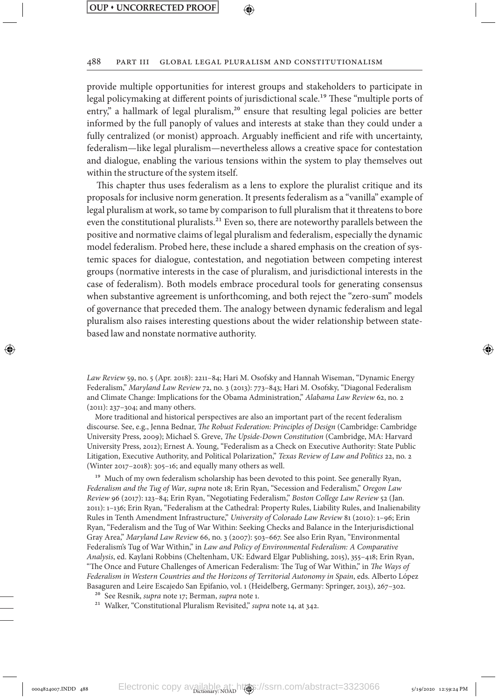⊕

↔

#### 488 Part III Global Legal Pluralism and Constitutionalism

provide multiple opportunities for interest groups and stakeholders to participate in legal policymaking at different points of jurisdictional scale.<sup>19</sup> These "multiple ports of entry," a hallmark of legal pluralism,<sup>20</sup> ensure that resulting legal policies are better informed by the full panoply of values and interests at stake than they could under a fully centralized (or monist) approach. Arguably inefficient and rife with uncertainty, federalism—like legal pluralism—nevertheless allows a creative space for contestation and dialogue, enabling the various tensions within the system to play themselves out within the structure of the system itself.

This chapter thus uses federalism as a lens to explore the pluralist critique and its proposals for inclusive norm generation. It presents federalism as a "vanilla" example of legal pluralism at work, so tame by comparison to full pluralism that it threatens to bore even the constitutional pluralists.<sup>21</sup> Even so, there are noteworthy parallels between the positive and normative claims of legal pluralism and federalism, especially the dynamic model federalism. Probed here, these include a shared emphasis on the creation of systemic spaces for dialogue, contestation, and negotiation between competing interest groups (normative interests in the case of pluralism, and jurisdictional interests in the case of federalism). Both models embrace procedural tools for generating consensus when substantive agreement is unforthcoming, and both reject the "zero-sum" models of governance that preceded them. The analogy between dynamic federalism and legal pluralism also raises interesting questions about the wider relationship between statebased law and nonstate normative authority.

*Law Review* 59, no. 5 (Apr. 2018): 2211–84; Hari M. Osofsky and Hannah Wiseman, "Dynamic Energy Federalism," *Maryland Law Review* 72, no. 3 (2013): 773–843; Hari M. Osofsky, "Diagonal Federalism and Climate Change: Implications for the Obama Administration," *Alabama Law Review* 62, no. 2 (2011): 237–304; and many others.

More traditional and historical perspectives are also an important part of the recent federalism discourse. See, e.g., Jenna Bednar, *The Robust Federation: Principles of Design* (Cambridge: Cambridge University Press, 2009); Michael S. Greve, *The Upside-Down Constitution* (Cambridge, MA: Harvard University Press, 2012); Ernest A. Young, "Federalism as a Check on Executive Authority: State Public Litigation, Executive Authority, and Political Polarization," *Texas Review of Law and Politics* 22, no. 2 (Winter 2017–2018): 305–16; and equally many others as well.

<sup>19</sup> Much of my own federalism scholarship has been devoted to this point. See generally Ryan, *Federalism and the Tug of War*, *supra* note 18; Erin Ryan, "Secession and Federalism," *Oregon Law Review* 96 (2017): 123–84; Erin Ryan, "Negotiating Federalism," *Boston College Law Review* 52 (Jan. 2011): 1–136; Erin Ryan, "Federalism at the Cathedral: Property Rules, Liability Rules, and Inalienability Rules in Tenth Amendment Infrastructure," *University of Colorado Law Review* 81 (2010): 1–96; Erin Ryan, "Federalism and the Tug of War Within: Seeking Checks and Balance in the Interjurisdictional Gray Area," *Maryland Law Review* 66, no. 3 (2007): 503–667. See also Erin Ryan, "Environmental Federalism's Tug of War Within," in *Law and Policy of Environmental Federalism: A Comparative Analysis*, ed. Kaylani Robbins (Cheltenham, UK: Edward Elgar Publishing, 2015), 355–418; Erin Ryan, "The Once and Future Challenges of American Federalism: The Tug of War Within," in *The Ways of Federalism in Western Countries and the Horizons of Territorial Autonomy in Spain*, eds. Alberto López Basaguren and Leire Escajedo San Epifanio, vol. 1 (Heidelberg, Germany: Springer, 2013), 267–302.

- 20 See Resnik, *supra* note 17; Berman, *supra* note 1.
- <sup>21</sup> Walker, "Constitutional Pluralism Revisited," *supra* note 14, at 342.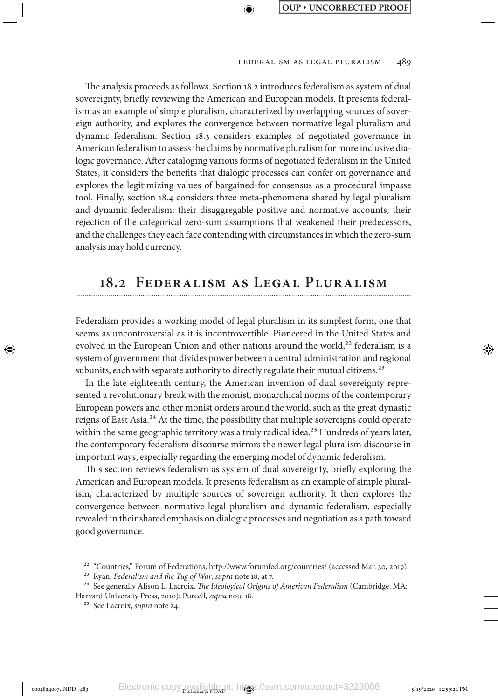#### Federalism as Legal Pluralism 489

The analysis proceeds as follows. Section 18.2 introduces federalism as system of dual sovereignty, briefly reviewing the American and European models. It presents federalism as an example of simple pluralism, characterized by overlapping sources of sovereign authority, and explores the convergence between normative legal pluralism and dynamic federalism. Section 18.3 considers examples of negotiated governance in American federalism to assess the claims by normative pluralism for more inclusive dialogic governance. After cataloging various forms of negotiated federalism in the United States, it considers the benefits that dialogic processes can confer on governance and explores the legitimizing values of bargained-for consensus as a procedural impasse tool. Finally, section 18.4 considers three meta-phenomena shared by legal pluralism and dynamic federalism: their disaggregable positive and normative accounts, their rejection of the categorical zero-sum assumptions that weakened their predecessors, and the challenges they each face contending with circumstances in which the zero-sum analysis may hold currency.

⊕

## **18.2 Federalism as Legal Pluralism**

Federalism provides a working model of legal pluralism in its simplest form, one that seems as uncontroversial as it is incontrovertible. Pioneered in the United States and evolved in the European Union and other nations around the world, $^{22}$  federalism is a system of government that divides power between a central administration and regional subunits, each with separate authority to directly regulate their mutual citizens.<sup>23</sup>

In the late eighteenth century, the American invention of dual sovereignty represented a revolutionary break with the monist, monarchical norms of the contemporary European powers and other monist orders around the world, such as the great dynastic reigns of East Asia.<sup>24</sup> At the time, the possibility that multiple sovereigns could operate within the same geographic territory was a truly radical idea.<sup>25</sup> Hundreds of years later, the contemporary federalism discourse mirrors the newer legal pluralism discourse in important ways, especially regarding the emerging model of dynamic federalism.

This section reviews federalism as system of dual sovereignty, briefly exploring the American and European models. It presents federalism as an example of simple pluralism, characterized by multiple sources of sovereign authority. It then explores the convergence between normative legal pluralism and dynamic federalism, especially revealed in their shared emphasis on dialogic processes and negotiation as a path toward good governance.

↔

<sup>22</sup> "Countries," Forum of Federations, http://www.forumfed.org/countries/ (accessed Mar. 30, 2019).

<sup>23</sup> Ryan, *Federalism and the Tug of War*, *supra* note 18, at 7.

<sup>24</sup> See generally Alison L. Lacroix, *The Ideological Origins of American Federalism* (Cambridge, MA: Harvard University Press, 2010); Purcell, *supra* note 18.

<sup>25</sup> See Lacroix, *supra* note 24.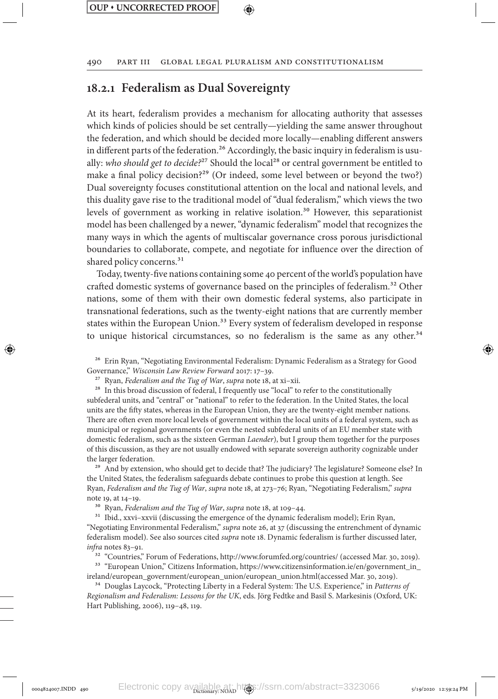## **18.2.1 Federalism as Dual Sovereignty**

At its heart, federalism provides a mechanism for allocating authority that assesses which kinds of policies should be set centrally—yielding the same answer throughout the federation, and which should be decided more locally—enabling different answers in different parts of the federation.<sup>26</sup> Accordingly, the basic inquiry in federalism is usually: who should get to decide?<sup>27</sup> Should the local<sup>28</sup> or central government be entitled to make a final policy decision?<sup>29</sup> (Or indeed, some level between or beyond the two?) Dual sovereignty focuses constitutional attention on the local and national levels, and this duality gave rise to the traditional model of "dual federalism," which views the two levels of government as working in relative isolation.<sup>30</sup> However, this separationist model has been challenged by a newer, "dynamic federalism" model that recognizes the many ways in which the agents of multiscalar governance cross porous jurisdictional boundaries to collaborate, compete, and negotiate for influence over the direction of shared policy concerns.<sup>31</sup>

Today, twenty-five nations containing some 40 percent of the world's population have crafted domestic systems of governance based on the principles of federalism.<sup>32</sup> Other nations, some of them with their own domestic federal systems, also participate in transnational federations, such as the twenty-eight nations that are currently member states within the European Union.<sup>33</sup> Every system of federalism developed in response to unique historical circumstances, so no federalism is the same as any other.<sup>34</sup>

26 Erin Ryan, "Negotiating Environmental Federalism: Dynamic Federalism as a Strategy for Good Governance," *Wisconsin Law Review Forward* 2017: 17–39.

27 Ryan, *Federalism and the Tug of War*, *supra* note 18, at xi–xii.

<sup>28</sup> In this broad discussion of federal, I frequently use "local" to refer to the constitutionally subfederal units, and "central" or "national" to refer to the federation. In the United States, the local units are the fifty states, whereas in the European Union, they are the twenty-eight member nations. There are often even more local levels of government within the local units of a federal system, such as municipal or regional governments (or even the nested subfederal units of an EU member state with domestic federalism, such as the sixteen German *Laender*), but I group them together for the purposes of this discussion, as they are not usually endowed with separate sovereign authority cognizable under the larger federation.

<sup>29</sup> And by extension, who should get to decide that? The judiciary? The legislature? Someone else? In the United States, the federalism safeguards debate continues to probe this question at length. See Ryan, *Federalism and the Tug of War*, *supra* note 18, at 273–76; Ryan, "Negotiating Federalism," *supra* note 19, at 14–19.

30 Ryan, *Federalism and the Tug of War*, *supra* note 18, at 109–44.

<sup>31</sup> Ibid., xxvi-xxvii (discussing the emergence of the dynamic federalism model); Erin Ryan, "Negotiating Environmental Federalism," *supra* note 26, at 37 (discussing the entrenchment of dynamic federalism model). See also sources cited *supra* note 18. Dynamic federalism is further discussed later, *infra* notes 83–91.

32 "Countries," Forum of Federations, http://www.forumfed.org/countries/ (accessed Mar. 30, 2019).

<sup>33</sup> "European Union," Citizens Information, https://www.citizensinformation.ie/en/government\_in\_ ireland/european\_government/european\_union/european\_union.html(accessed Mar. 30, 2019).

34 Douglas Laycock, "Protecting Liberty in a Federal System: The U.S. Experience," in *Patterns of Regionalism and Federalism: Lessons for the UK*, eds. Jörg Fedtke and Basil S. Markesinis (Oxford, UK: Hart Publishing, 2006), 119–48, 119.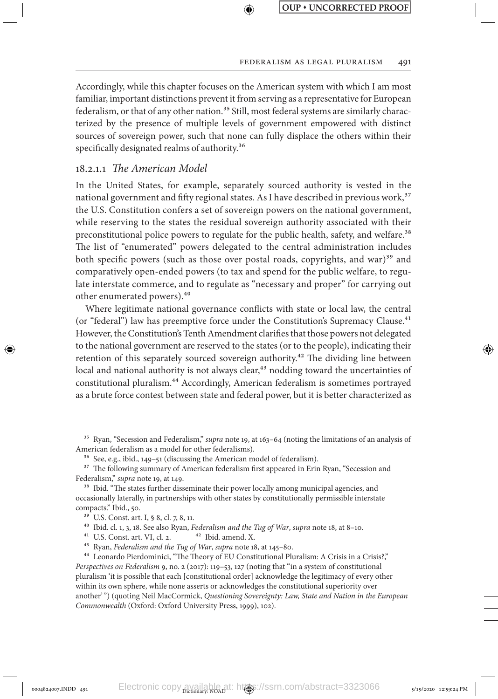Accordingly, while this chapter focuses on the American system with which I am most familiar, important distinctions prevent it from serving as a representative for European federalism, or that of any other nation.<sup>35</sup> Still, most federal systems are similarly characterized by the presence of multiple levels of government empowered with distinct sources of sovereign power, such that none can fully displace the others within their specifically designated realms of authority.<sup>36</sup>

↔

### 18.2.1.1 *The American Model*

In the United States, for example, separately sourced authority is vested in the national government and fifty regional states. As I have described in previous work,<sup>37</sup> the U.S. Constitution confers a set of sovereign powers on the national government, while reserving to the states the residual sovereign authority associated with their preconstitutional police powers to regulate for the public health, safety, and welfare.<sup>38</sup> The list of "enumerated" powers delegated to the central administration includes both specific powers (such as those over postal roads, copyrights, and war)<sup>39</sup> and comparatively open-ended powers (to tax and spend for the public welfare, to regulate interstate commerce, and to regulate as "necessary and proper" for carrying out other enumerated powers).40

Where legitimate national governance conflicts with state or local law, the central (or "federal") law has preemptive force under the Constitution's Supremacy Clause.<sup>41</sup> However, the Constitution's Tenth Amendment clarifies that those powers not delegated to the national government are reserved to the states (or to the people), indicating their retention of this separately sourced sovereign authority.<sup>42</sup> The dividing line between local and national authority is not always clear,<sup>43</sup> nodding toward the uncertainties of constitutional pluralism.44 Accordingly, American federalism is sometimes portrayed as a brute force contest between state and federal power, but it is better characterized as

35 Ryan, "Secession and Federalism," *supra* note 19, at 163–64 (noting the limitations of an analysis of American federalism as a model for other federalisms).

36 See, e.g., ibid., 149–51 (discussing the American model of federalism).

<sup>37</sup> The following summary of American federalism first appeared in Erin Ryan, "Secession and Federalism," *supra* note 19, at 149.

<sup>38</sup> Ibid. "The states further disseminate their power locally among municipal agencies, and occasionally laterally, in partnerships with other states by constitutionally permissible interstate compacts." Ibid., 50.

39 U.S. Const. art. I, § 8, cl. 7, 8, 11.

⊕

40 Ibid. cl. 1, 3, 18. See also Ryan, *Federalism and the Tug of War*, *supra* note 18, at 8–10.

 $41$  U.S. Const. art. VI, cl. 2.

43 Ryan, *Federalism and the Tug of War*, *supra* note 18, at 145–80.

44 Leonardo Pierdominici, "The Theory of EU Constitutional Pluralism: A Crisis in a Crisis?," *Perspectives on Federalism* 9, no. 2 (2017): 119–53, 127 (noting that "in a system of constitutional pluralism 'it is possible that each [constitutional order] acknowledge the legitimacy of every other within its own sphere, while none asserts or acknowledges the constitutional superiority over another' ") (quoting Neil MacCormick, *Questioning Sovereignty: Law, State and Nation in the European Commonwealth* (Oxford: Oxford University Press, 1999), 102).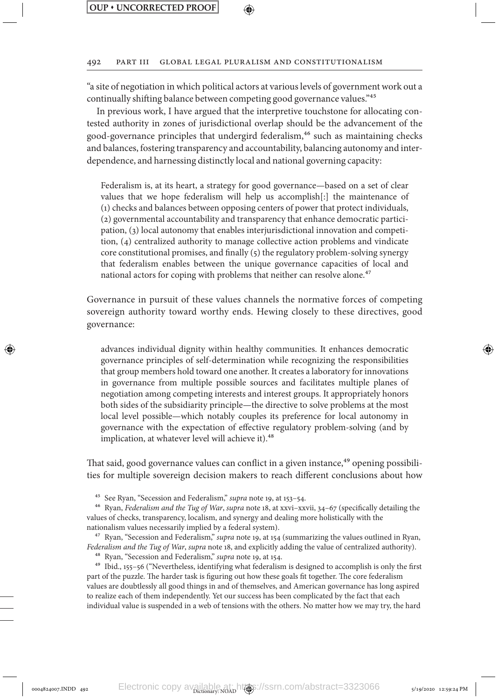⊕

#### 492 Part III Global Legal Pluralism and Constitutionalism

"a site of negotiation in which political actors at various levels of government work out a continually shifting balance between competing good governance values."45

In previous work, I have argued that the interpretive touchstone for allocating contested authority in zones of jurisdictional overlap should be the advancement of the good-governance principles that undergird federalism,<sup>46</sup> such as maintaining checks and balances, fostering transparency and accountability, balancing autonomy and interdependence, and harnessing distinctly local and national governing capacity:

Federalism is, at its heart, a strategy for good governance—based on a set of clear values that we hope federalism will help us accomplish[:] the maintenance of (1) checks and balances between opposing centers of power that protect individuals, (2) governmental accountability and transparency that enhance democratic participation, (3) local autonomy that enables interjurisdictional innovation and competition, (4) centralized authority to manage collective action problems and vindicate core constitutional promises, and finally (5) the regulatory problem-solving synergy that federalism enables between the unique governance capacities of local and national actors for coping with problems that neither can resolve alone.<sup>47</sup>

Governance in pursuit of these values channels the normative forces of competing sovereign authority toward worthy ends. Hewing closely to these directives, good governance:

advances individual dignity within healthy communities. It enhances democratic governance principles of self-determination while recognizing the responsibilities that group members hold toward one another. It creates a laboratory for innovations in governance from multiple possible sources and facilitates multiple planes of negotiation among competing interests and interest groups. It appropriately honors both sides of the subsidiarity principle—the directive to solve problems at the most local level possible—which notably couples its preference for local autonomy in governance with the expectation of effective regulatory problem-solving (and by implication, at whatever level will achieve it).<sup>48</sup>

That said, good governance values can conflict in a given instance,<sup>49</sup> opening possibilities for multiple sovereign decision makers to reach different conclusions about how

45 See Ryan, "Secession and Federalism," *supra* note 19, at 153–54.

46 Ryan, *Federalism and the Tug of War*, *supra* note 18, at xxvi–xxvii, 34–67 (specifically detailing the values of checks, transparency, localism, and synergy and dealing more holistically with the nationalism values necessarily implied by a federal system).

47 Ryan, "Secession and Federalism," *supra* note 19, at 154 (summarizing the values outlined in Ryan, *Federalism and the Tug of War*, *supra* note 18, and explicitly adding the value of centralized authority).

48 Ryan, "Secession and Federalism," *supra* note 19, at 154.

49 Ibid., 155–56 ("Nevertheless, identifying what federalism is designed to accomplish is only the first part of the puzzle. The harder task is figuring out how these goals fit together. The core federalism values are doubtlessly all good things in and of themselves, and American governance has long aspired to realize each of them independently. Yet our success has been complicated by the fact that each individual value is suspended in a web of tensions with the others. No matter how we may try, the hard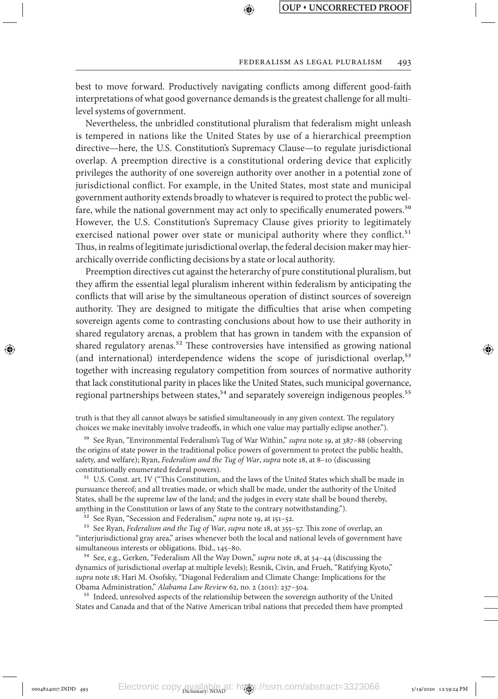#### Federalism as Legal Pluralism 493

best to move forward. Productively navigating conflicts among different good-faith interpretations of what good governance demands is the greatest challenge for all multilevel systems of government.

↔

Nevertheless, the unbridled constitutional pluralism that federalism might unleash is tempered in nations like the United States by use of a hierarchical preemption directive—here, the U.S. Constitution's Supremacy Clause—to regulate jurisdictional overlap. A preemption directive is a constitutional ordering device that explicitly privileges the authority of one sovereign authority over another in a potential zone of jurisdictional conflict. For example, in the United States, most state and municipal government authority extends broadly to whatever is required to protect the public welfare, while the national government may act only to specifically enumerated powers.<sup>50</sup> However, the U.S. Constitution's Supremacy Clause gives priority to legitimately exercised national power over state or municipal authority where they conflict.<sup>51</sup> Thus, in realms of legitimate jurisdictional overlap, the federal decision maker may hierarchically override conflicting decisions by a state or local authority.

Preemption directives cut against the heterarchy of pure constitutional pluralism, but they affirm the essential legal pluralism inherent within federalism by anticipating the conflicts that will arise by the simultaneous operation of distinct sources of sovereign authority. They are designed to mitigate the difficulties that arise when competing sovereign agents come to contrasting conclusions about how to use their authority in shared regulatory arenas, a problem that has grown in tandem with the expansion of shared regulatory arenas.<sup>52</sup> These controversies have intensified as growing national (and international) interdependence widens the scope of jurisdictional overlap,<sup>53</sup> together with increasing regulatory competition from sources of normative authority that lack constitutional parity in places like the United States, such municipal governance, regional partnerships between states,<sup>54</sup> and separately sovereign indigenous peoples.<sup>55</sup>

truth is that they all cannot always be satisfied simultaneously in any given context. The regulatory choices we make inevitably involve tradeoffs, in which one value may partially eclipse another.").

50 See Ryan, "Environmental Federalism's Tug of War Within," *supra* note 19, at 387–88 (observing the origins of state power in the traditional police powers of government to protect the public health, safety, and welfare); Ryan, *Federalism and the Tug of War*, *supra* note 18, at 8–10 (discussing constitutionally enumerated federal powers).

<sup>51</sup> U.S. Const. art. IV ("This Constitution, and the laws of the United States which shall be made in pursuance thereof; and all treaties made, or which shall be made, under the authority of the United States, shall be the supreme law of the land; and the judges in every state shall be bound thereby, anything in the Constitution or laws of any State to the contrary notwithstanding.").

52 See Ryan, "Secession and Federalism," *supra* note 19, at 151–52.

53 See Ryan, *Federalism and the Tug of War*, *supra* note 18, at 355–57. This zone of overlap, an "interjurisdictional gray area," arises whenever both the local and national levels of government have simultaneous interests or obligations. Ibid., 145–80.

54 See, e.g., Gerken, "Federalism All the Way Down," *supra* note 18, at 34–44 (discussing the dynamics of jurisdictional overlap at multiple levels); Resnik, Civin, and Frueh, "Ratifying Kyoto," *supra* note 18; Hari M. Osofsky, "Diagonal Federalism and Climate Change: Implications for the Obama Administration," *Alabama Law Review* 62, no. 2 (2011): 237–304.

<sup>55</sup> Indeed, unresolved aspects of the relationship between the sovereign authority of the United States and Canada and that of the Native American tribal nations that preceded them have prompted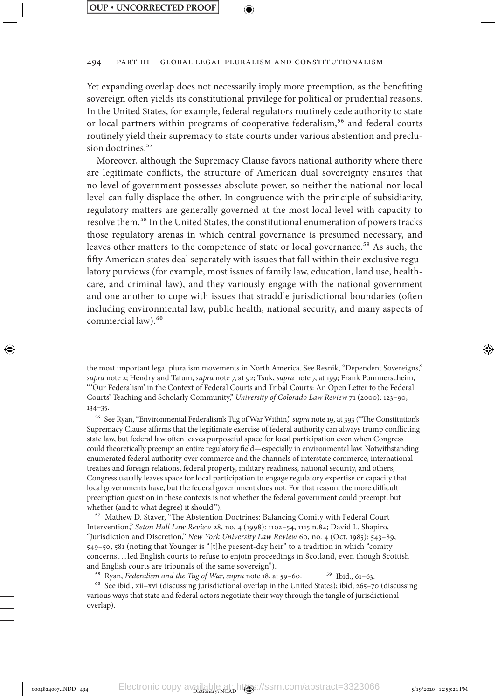⊕

⇔

#### 494 Part III Global Legal Pluralism and Constitutionalism

Yet expanding overlap does not necessarily imply more preemption, as the benefiting sovereign often yields its constitutional privilege for political or prudential reasons. In the United States, for example, federal regulators routinely cede authority to state or local partners within programs of cooperative federalism,<sup>56</sup> and federal courts routinely yield their supremacy to state courts under various abstention and preclusion doctrines.<sup>57</sup>

Moreover, although the Supremacy Clause favors national authority where there are legitimate conflicts, the structure of American dual sovereignty ensures that no level of government possesses absolute power, so neither the national nor local level can fully displace the other. In congruence with the principle of subsidiarity, regulatory matters are generally governed at the most local level with capacity to resolve them.58 In the United States, the constitutional enumeration of powers tracks those regulatory arenas in which central governance is presumed necessary, and leaves other matters to the competence of state or local governance.<sup>59</sup> As such, the fifty American states deal separately with issues that fall within their exclusive regulatory purviews (for example, most issues of family law, education, land use, healthcare, and criminal law), and they variously engage with the national government and one another to cope with issues that straddle jurisdictional boundaries (often including environmental law, public health, national security, and many aspects of commercial law).<sup>60</sup>

the most important legal pluralism movements in North America. See Resnik, "Dependent Sovereigns," *supra* note 2; Hendry and Tatum, *supra* note 7, at 92; Tsuk, *supra* note 7, at 199; Frank Pommerscheim, "'Our Federalism' in the Context of Federal Courts and Tribal Courts: An Open Letter to the Federal Courts' Teaching and Scholarly Community," *University of Colorado Law Review* 71 (2000): 123–90, 134–35.

56 See Ryan, "Environmental Federalism's Tug of War Within," *supra* note 19, at 393 ("The Constitution's Supremacy Clause affirms that the legitimate exercise of federal authority can always trump conflicting state law, but federal law often leaves purposeful space for local participation even when Congress could theoretically preempt an entire regulatory field—especially in environmental law. Notwithstanding enumerated federal authority over commerce and the channels of interstate commerce, international treaties and foreign relations, federal property, military readiness, national security, and others, Congress usually leaves space for local participation to engage regulatory expertise or capacity that local governments have, but the federal government does not. For that reason, the more difficult preemption question in these contexts is not whether the federal government could preempt, but whether (and to what degree) it should.").

57 Mathew D. Staver, "The Abstention Doctrines: Balancing Comity with Federal Court Intervention," *Seton Hall Law Review* 28, no. 4 (1998): 1102–54, 1115 n.84; David L. Shapiro, "Jurisdiction and Discretion," *New York University Law Review* 60, no. 4 (Oct. 1985): 543–89, 549–50, 581 (noting that Younger is "[t]he present-day heir" to a tradition in which "comity concerns. . . led English courts to refuse to enjoin proceedings in Scotland, even though Scottish and English courts are tribunals of the same sovereign").

<sup>58</sup> Ryan, *Federalism and the Tug of War*, *supra* note 18, at 59–60. <sup>59</sup> Ibid., 61–63.

60 See ibid., xii–xvi (discussing jurisdictional overlap in the United States); ibid, 265–70 (discussing various ways that state and federal actors negotiate their way through the tangle of jurisdictional overlap).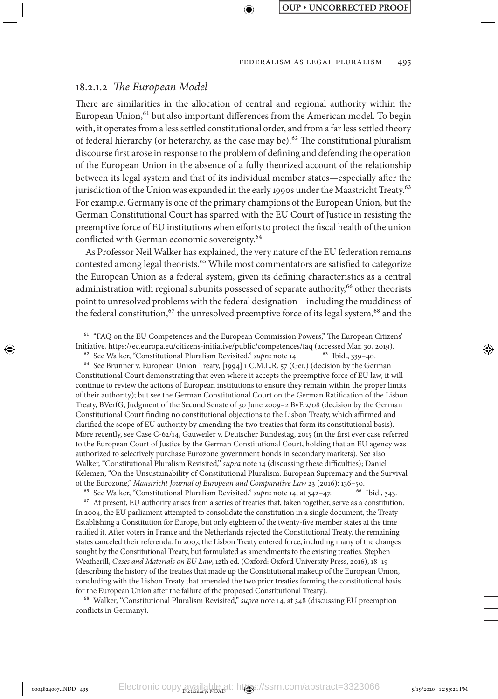### 18.2.1.2 *The European Model*

⊕

There are similarities in the allocation of central and regional authority within the European Union, $61$  but also important differences from the American model. To begin with, it operates from a less settled constitutional order, and from a far less settled theory of federal hierarchy (or heterarchy, as the case may be).<sup>62</sup> The constitutional pluralism discourse first arose in response to the problem of defining and defending the operation of the European Union in the absence of a fully theorized account of the relationship between its legal system and that of its individual member states—especially after the jurisdiction of the Union was expanded in the early 1990s under the Maastricht Treaty.<sup>63</sup> For example, Germany is one of the primary champions of the European Union, but the German Constitutional Court has sparred with the EU Court of Justice in resisting the preemptive force of EU institutions when efforts to protect the fiscal health of the union conflicted with German economic sovereignty.<sup>64</sup>

↔

As Professor Neil Walker has explained, the very nature of the EU federation remains contested among legal theorists.<sup>65</sup> While most commentators are satisfied to categorize the European Union as a federal system, given its defining characteristics as a central administration with regional subunits possessed of separate authority,<sup>66</sup> other theorists point to unresolved problems with the federal designation—including the muddiness of the federal constitution,<sup>67</sup> the unresolved preemptive force of its legal system,<sup>68</sup> and the

61 "FAQ on the EU Competences and the European Commission Powers," The European Citizens' Initiative, https://ec.europa.eu/citizens-initiative/public/competences/faq (accessed Mar. 30, 2019).

<sup>62</sup> See Walker, "Constitutional Pluralism Revisited," *supra* note 14. <sup>63</sup> Ibid., 339-40.

64 See Brunner v. European Union Treaty, [1994] 1 C.M.L.R. 57 (Ger.) (decision by the German Constitutional Court demonstrating that even where it accepts the preemptive force of EU law, it will continue to review the actions of European institutions to ensure they remain within the proper limits of their authority); but see the German Constitutional Court on the German Ratification of the Lisbon Treaty, BVerfG, Judgment of the Second Senate of 30 June 2009–2 BvE 2/08 (decision by the German Constitutional Court finding no constitutional objections to the Lisbon Treaty, which affirmed and clarified the scope of EU authority by amending the two treaties that form its constitutional basis). More recently, see Case C-62/14, Gauweiler v. Deutscher Bundestag, 2015 (in the first ever case referred to the European Court of Justice by the German Constitutional Court, holding that an EU agency was authorized to selectively purchase Eurozone government bonds in secondary markets). See also Walker, "Constitutional Pluralism Revisited," *supra* note 14 (discussing these difficulties); Daniel Kelemen, "On the Unsustainability of Constitutional Pluralism: European Supremacy and the Survival of the Eurozone," *Maastricht Journal of European and Comparative Law* 23 (2016): 136–50.

<sup>65</sup> See Walker, "Constitutional Pluralism Revisited," *supra* note 14, at 342-47. <sup>67</sup> At present, EU authority arises from a series of treaties that, taken together, serve as a constitution. In 2004, the EU parliament attempted to consolidate the constitution in a single document, the Treaty Establishing a Constitution for Europe, but only eighteen of the twenty-five member states at the time ratified it. After voters in France and the Netherlands rejected the Constitutional Treaty, the remaining states canceled their referenda. In 2007, the Lisbon Treaty entered force, including many of the changes sought by the Constitutional Treaty, but formulated as amendments to the existing treaties. Stephen Weatherill, *Cases and Materials on EU Law*, 12th ed. (Oxford: Oxford University Press, 2016), 18–19 (describing the history of the treaties that made up the Constitutional makeup of the European Union, concluding with the Lisbon Treaty that amended the two prior treaties forming the constitutional basis for the European Union after the failure of the proposed Constitutional Treaty).

68 Walker, "Constitutional Pluralism Revisited," *supra* note 14, at 348 (discussing EU preemption conflicts in Germany).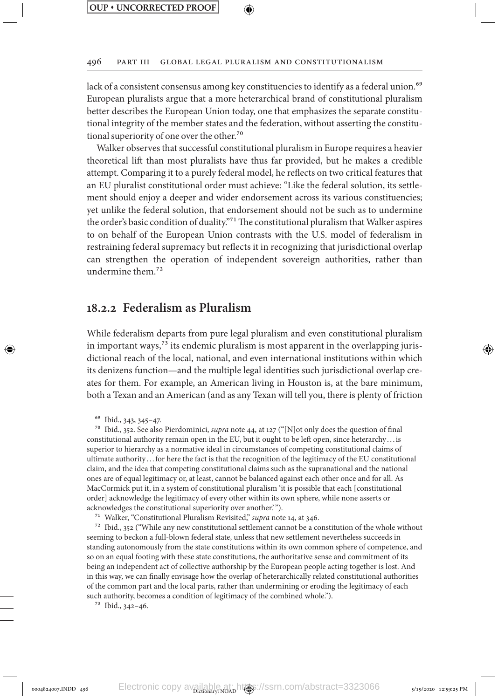↔

496 Part III Global Legal Pluralism and Constitutionalism

lack of a consistent consensus among key constituencies to identify as a federal union.<sup>69</sup> European pluralists argue that a more heterarchical brand of constitutional pluralism better describes the European Union today, one that emphasizes the separate constitutional integrity of the member states and the federation, without asserting the constitutional superiority of one over the other.<sup>70</sup>

Walker observes that successful constitutional pluralism in Europe requires a heavier theoretical lift than most pluralists have thus far provided, but he makes a credible attempt. Comparing it to a purely federal model, he reflects on two critical features that an EU pluralist constitutional order must achieve: "Like the federal solution, its settlement should enjoy a deeper and wider endorsement across its various constituencies; yet unlike the federal solution, that endorsement should not be such as to undermine the order's basic condition of duality."71 The constitutional pluralism that Walker aspires to on behalf of the European Union contrasts with the U.S. model of federalism in restraining federal supremacy but reflects it in recognizing that jurisdictional overlap can strengthen the operation of independent sovereign authorities, rather than undermine them.72

## **18.2.2 Federalism as Pluralism**

While federalism departs from pure legal pluralism and even constitutional pluralism in important ways, $\frac{73}{3}$  its endemic pluralism is most apparent in the overlapping jurisdictional reach of the local, national, and even international institutions within which its denizens function—and the multiple legal identities such jurisdictional overlap creates for them. For example, an American living in Houston is, at the bare minimum, both a Texan and an American (and as any Texan will tell you, there is plenty of friction

69 Ibid., 343, 345–47.

↔

70 Ibid., 352. See also Pierdominici, *supra* note 44, at 127 ("[N]ot only does the question of final constitutional authority remain open in the EU, but it ought to be left open, since heterarchy . . .is superior to hierarchy as a normative ideal in circumstances of competing constitutional claims of ultimate authority . . .for here the fact is that the recognition of the legitimacy of the EU constitutional claim, and the idea that competing constitutional claims such as the supranational and the national ones are of equal legitimacy or, at least, cannot be balanced against each other once and for all. As MacCormick put it, in a system of constitutional pluralism 'it is possible that each [constitutional order] acknowledge the legitimacy of every other within its own sphere, while none asserts or acknowledges the constitutional superiority over another.' ").

71 Walker, "Constitutional Pluralism Revisited," *supra* note 14, at 346.

72 Ibid., 352 ("While any new constitutional settlement cannot be a constitution of the whole without seeming to beckon a full-blown federal state, unless that new settlement nevertheless succeeds in standing autonomously from the state constitutions within its own common sphere of competence, and so on an equal footing with these state constitutions, the authoritative sense and commitment of its being an independent act of collective authorship by the European people acting together is lost. And in this way, we can finally envisage how the overlap of heterarchically related constitutional authorities of the common part and the local parts, rather than undermining or eroding the legitimacy of each such authority, becomes a condition of legitimacy of the combined whole.").

73 Ibid., 342–46.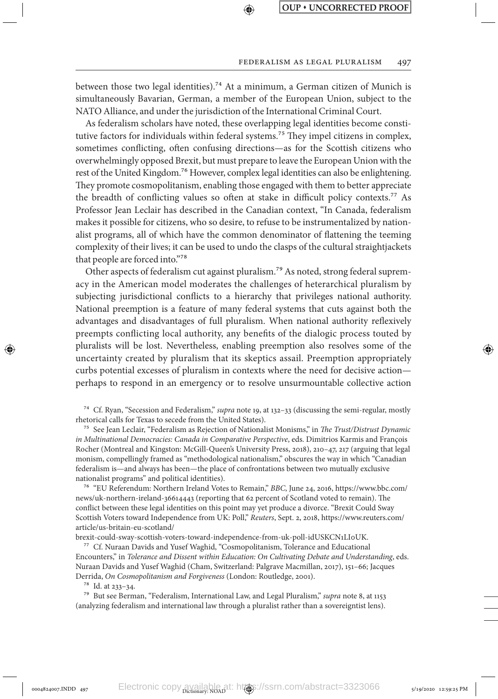#### Federalism as Legal Pluralism 497

between those two legal identities).<sup>74</sup> At a minimum, a German citizen of Munich is simultaneously Bavarian, German, a member of the European Union, subject to the NATO Alliance, and under the jurisdiction of the International Criminal Court.

↔

As federalism scholars have noted, these overlapping legal identities become constitutive factors for individuals within federal systems.<sup>75</sup> They impel citizens in complex, sometimes conflicting, often confusing directions—as for the Scottish citizens who overwhelmingly opposed Brexit, but must prepare to leave the European Union with the rest of the United Kingdom.<sup>76</sup> However, complex legal identities can also be enlightening. They promote cosmopolitanism, enabling those engaged with them to better appreciate the breadth of conflicting values so often at stake in difficult policy contexts.77 As Professor Jean Leclair has described in the Canadian context, "In Canada, federalism makes it possible for citizens, who so desire, to refuse to be instrumentalized by nationalist programs, all of which have the common denominator of flattening the teeming complexity of their lives; it can be used to undo the clasps of the cultural straightjackets that people are forced into."78

Other aspects of federalism cut against pluralism.<sup>79</sup> As noted, strong federal supremacy in the American model moderates the challenges of heterarchical pluralism by subjecting jurisdictional conflicts to a hierarchy that privileges national authority. National preemption is a feature of many federal systems that cuts against both the advantages and disadvantages of full pluralism. When national authority reflexively preempts conflicting local authority, any benefits of the dialogic process touted by pluralists will be lost. Nevertheless, enabling preemption also resolves some of the uncertainty created by pluralism that its skeptics assail. Preemption appropriately curbs potential excesses of pluralism in contexts where the need for decisive action perhaps to respond in an emergency or to resolve unsurmountable collective action

74 Cf. Ryan, "Secession and Federalism," *supra* note 19, at 132–33 (discussing the semi-regular, mostly rhetorical calls for Texas to secede from the United States).

75 See Jean Leclair, "Federalism as Rejection of Nationalist Monisms," in *The Trust/Distrust Dynamic in Multinational Democracies: Canada in Comparative Perspective*, eds. Dimitrios Karmis and François Rocher (Montreal and Kingston: McGill-Queen's University Press, 2018), 210–47, 217 (arguing that legal monism, compellingly framed as "methodological nationalism," obscures the way in which "Canadian federalism is—and always has been—the place of confrontations between two mutually exclusive nationalist programs" and political identities).

76 "EU Referendum: Northern Ireland Votes to Remain," *BBC*, June 24, 2016, https://www.bbc.com/ news/uk-northern-ireland-36614443 (reporting that 62 percent of Scotland voted to remain). The conflict between these legal identities on this point may yet produce a divorce. "Brexit Could Sway Scottish Voters toward Independence from UK: Poll," *Reuters*, Sept. 2, 2018, https://www.reuters.com/ article/us-britain-eu-scotland/

brexit-could-sway-scottish-voters-toward-independence-from-uk-poll-idUSKCN1LI0UK.

77 Cf. Nuraan Davids and Yusef Waghid, "Cosmopolitanism, Tolerance and Educational Encounters," in *Tolerance and Dissent within Education: On Cultivating Debate and Understanding*, eds. Nuraan Davids and Yusef Waghid (Cham, Switzerland: Palgrave Macmillan, 2017), 151–66; Jacques Derrida, *On Cosmopolitanism and Forgiveness* (London: Routledge, 2001).

78 Id. at 233–34.

⊕

79 But see Berman, "Federalism, International Law, and Legal Pluralism," *supra* note 8, at 1153 (analyzing federalism and international law through a pluralist rather than a sovereigntist lens).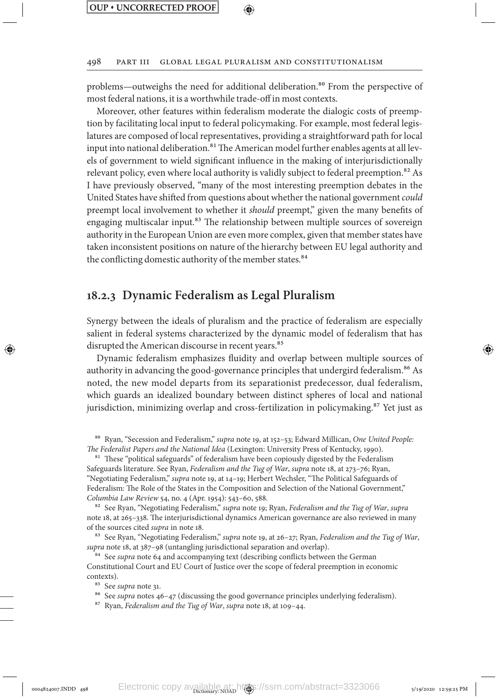### 498 Part III Global Legal Pluralism and Constitutionalism

problems—outweighs the need for additional deliberation.<sup>80</sup> From the perspective of most federal nations, it is a worthwhile trade-off in most contexts.

Moreover, other features within federalism moderate the dialogic costs of preemption by facilitating local input to federal policymaking. For example, most federal legislatures are composed of local representatives, providing a straightforward path for local input into national deliberation.<sup>81</sup> The American model further enables agents at all levels of government to wield significant influence in the making of interjurisdictionally relevant policy, even where local authority is validly subject to federal preemption.<sup>82</sup> As I have previously observed, "many of the most interesting preemption debates in the United States have shifted from questions about whether the national government *could* preempt local involvement to whether it *should* preempt," given the many benefits of engaging multiscalar input.<sup>83</sup> The relationship between multiple sources of sovereign authority in the European Union are even more complex, given that member states have taken inconsistent positions on nature of the hierarchy between EU legal authority and the conflicting domestic authority of the member states.<sup>84</sup>

### **18.2.3 Dynamic Federalism as Legal Pluralism**

Synergy between the ideals of pluralism and the practice of federalism are especially salient in federal systems characterized by the dynamic model of federalism that has disrupted the American discourse in recent years.<sup>85</sup>

Dynamic federalism emphasizes fluidity and overlap between multiple sources of authority in advancing the good-governance principles that undergird federalism.<sup>86</sup> As noted, the new model departs from its separationist predecessor, dual federalism, which guards an idealized boundary between distinct spheres of local and national jurisdiction, minimizing overlap and cross-fertilization in policymaking. $87$  Yet just as

80 Ryan, "Secession and Federalism," *supra* note 19, at 152–53; Edward Millican, *One United People: The Federalist Papers and the National Idea* (Lexington: University Press of Kentucky, 1990).

<sup>81</sup> These "political safeguards" of federalism have been copiously digested by the Federalism Safeguards literature. See Ryan, *Federalism and the Tug of War*, *supra* note 18, at 273–76; Ryan, "Negotiating Federalism," *supra* note 19, at 14–19; Herbert Wechsler, "The Political Safeguards of Federalism: The Role of the States in the Composition and Selection of the National Government," *Columbia Law Review* 54, no. 4 (Apr. 1954): 543–60, 588.

82 See Ryan, "Negotiating Federalism," *supra* note 19; Ryan, *Federalism and the Tug of War*, *supra* note 18, at 265–338. The interjurisdictional dynamics American governance are also reviewed in many of the sources cited *supra* in note 18.

83 See Ryan, "Negotiating Federalism," *supra* note 19, at 26–27; Ryan, *Federalism and the Tug of War*, *supra* note 18, at 387–98 (untangling jurisdictional separation and overlap).

<sup>84</sup> See *supra* note 64 and accompanying text (describing conflicts between the German Constitutional Court and EU Court of Justice over the scope of federal preemption in economic contexts).

85 See *supra* note 31.

⊕

86 See *supra* notes 46–47 (discussing the good governance principles underlying federalism).

87 Ryan, *Federalism and the Tug of War*, *supra* note 18, at 109–44.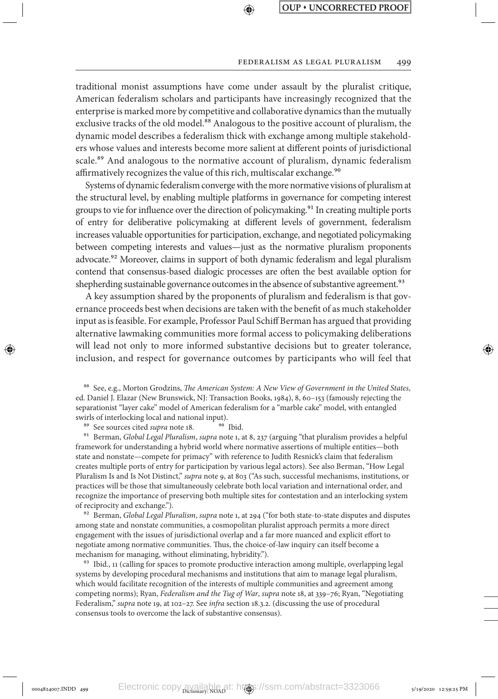#### Federalism as Legal Pluralism 499

traditional monist assumptions have come under assault by the pluralist critique, American federalism scholars and participants have increasingly recognized that the enterprise is marked more by competitive and collaborative dynamics than the mutually exclusive tracks of the old model.<sup>88</sup> Analogous to the positive account of pluralism, the dynamic model describes a federalism thick with exchange among multiple stakeholders whose values and interests become more salient at different points of jurisdictional scale.<sup>89</sup> And analogous to the normative account of pluralism, dynamic federalism affirmatively recognizes the value of this rich, multiscalar exchange.<sup>90</sup>

⊕

Systems of dynamic federalism converge with the more normative visions of pluralism at the structural level, by enabling multiple platforms in governance for competing interest groups to vie for influence over the direction of policymaking.<sup>91</sup> In creating multiple ports of entry for deliberative policymaking at different levels of government, federalism increases valuable opportunities for participation, exchange, and negotiated policymaking between competing interests and values—just as the normative pluralism proponents advocate.<sup>92</sup> Moreover, claims in support of both dynamic federalism and legal pluralism contend that consensus-based dialogic processes are often the best available option for shepherding sustainable governance outcomes in the absence of substantive agreement.<sup>93</sup>

A key assumption shared by the proponents of pluralism and federalism is that governance proceeds best when decisions are taken with the benefit of as much stakeholder input as is feasible. For example, Professor Paul Schiff Berman has argued that providing alternative lawmaking communities more formal access to policymaking deliberations will lead not only to more informed substantive decisions but to greater tolerance, inclusion, and respect for governance outcomes by participants who will feel that

88 See, e.g., Morton Grodzins, *The American System: A New View of Government in the United States*, ed. Daniel J. Elazar (New Brunswick, NJ: Transaction Books, 1984), 8, 60–153 (famously rejecting the separationist "layer cake" model of American federalism for a "marble cake" model, with entangled swirls of interlocking local and national input).

<sup>89</sup> See sources cited *supra* note 18. <sup>90</sup> Ibid.

91 Berman, *Global Legal Pluralism*, *supra* note 1, at 8, 237 (arguing "that pluralism provides a helpful framework for understanding a hybrid world where normative assertions of multiple entities—both state and nonstate—compete for primacy" with reference to Judith Resnick's claim that federalism creates multiple ports of entry for participation by various legal actors). See also Berman, "How Legal Pluralism Is and Is Not Distinct," *supra* note 9, at 803 ("As such, successful mechanisms, institutions, or practices will be those that simultaneously celebrate both local variation and international order, and recognize the importance of preserving both multiple sites for contestation and an interlocking system of reciprocity and exchange.").

92 Berman, *Global Legal Pluralism*, *supra* note 1, at 294 ("for both state-to-state disputes and disputes among state and nonstate communities, a cosmopolitan pluralist approach permits a more direct engagement with the issues of jurisdictional overlap and a far more nuanced and explicit effort to negotiate among normative communities. Thus, the choice-of-law inquiry can itself become a mechanism for managing, without eliminating, hybridity.").

<sup>93</sup> Ibid., 11 (calling for spaces to promote productive interaction among multiple, overlapping legal systems by developing procedural mechanisms and institutions that aim to manage legal pluralism, which would facilitate recognition of the interests of multiple communities and agreement among competing norms); Ryan, *Federalism and the Tug of War*, *supra* note 18, at 339–76; Ryan, "Negotiating Federalism," *supra* note 19, at 102–27. See *infra* section 18.3.2. (discussing the use of procedural consensus tools to overcome the lack of substantive consensus).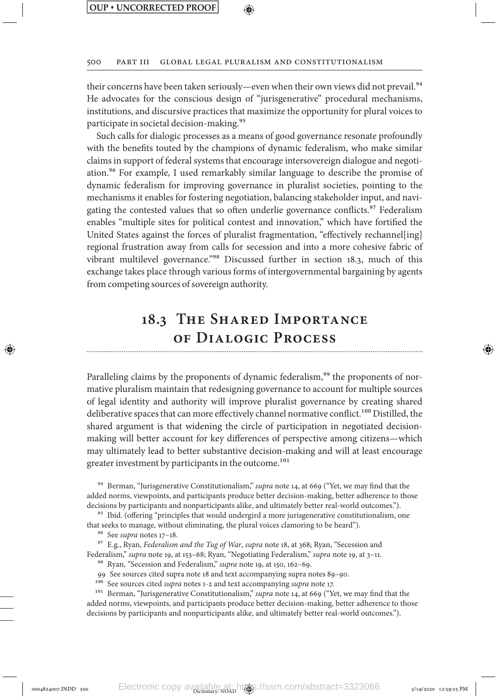500 Part III Global Legal Pluralism and Constitutionalism

their concerns have been taken seriously—even when their own views did not prevail.<sup>94</sup> He advocates for the conscious design of "jurisgenerative" procedural mechanisms, institutions, and discursive practices that maximize the opportunity for plural voices to participate in societal decision-making.95

Such calls for dialogic processes as a means of good governance resonate profoundly with the benefits touted by the champions of dynamic federalism, who make similar claims in support of federal systems that encourage intersovereign dialogue and negotiation.96 For example, I used remarkably similar language to describe the promise of dynamic federalism for improving governance in pluralist societies, pointing to the mechanisms it enables for fostering negotiation, balancing stakeholder input, and navigating the contested values that so often underlie governance conflicts.<sup>97</sup> Federalism enables "multiple sites for political contest and innovation," which have fortified the United States against the forces of pluralist fragmentation, "effectively rechannel[ing] regional frustration away from calls for secession and into a more cohesive fabric of vibrant multilevel governance."98 Discussed further in section 18.3, much of this exchange takes place through various forms of intergovernmental bargaining by agents from competing sources of sovereign authority.

# **18.3 The Shared Importance of Dialogic Process**

Paralleling claims by the proponents of dynamic federalism,<sup>99</sup> the proponents of normative pluralism maintain that redesigning governance to account for multiple sources of legal identity and authority will improve pluralist governance by creating shared deliberative spaces that can more effectively channel normative conflict.<sup>100</sup> Distilled, the shared argument is that widening the circle of participation in negotiated decisionmaking will better account for key differences of perspective among citizens—which may ultimately lead to better substantive decision-making and will at least encourage greater investment by participants in the outcome.<sup>101</sup>

94 Berman, "Jurisgenerative Constitutionalism," *supra* note 14, at 669 ("Yet, we may find that the added norms, viewpoints, and participants produce better decision-making, better adherence to those decisions by participants and nonparticipants alike, and ultimately better real-world outcomes.").

<sup>95</sup> Ibid. (offering "principles that would undergird a more jurisgenerative constitutionalism, one that seeks to manage, without eliminating, the plural voices clamoring to be heard").

96 See *supra* notes 17–18.

⊕

97 E.g., Ryan, *Federalism and the Tug of War*, *supra* note 18, at 368; Ryan, "Secession and Federalism," *supra* note 19, at 153–68; Ryan, "Negotiating Federalism," *supra* note 19, at 3–11.

98 Ryan, "Secession and Federalism," *supra* note 19, at 150, 162–69.

99 See sources cited supra note 18 and text accompanying supra notes 89–90.

100 See sources cited *supra* notes 1-2 and text accompanying *supra* note 17.

101 Berman, "Jurisgenerative Constitutionalism," *supra* note 14, at 669 ("Yet, we may find that the added norms, viewpoints, and participants produce better decision-making, better adherence to those decisions by participants and nonparticipants alike, and ultimately better real-world outcomes.").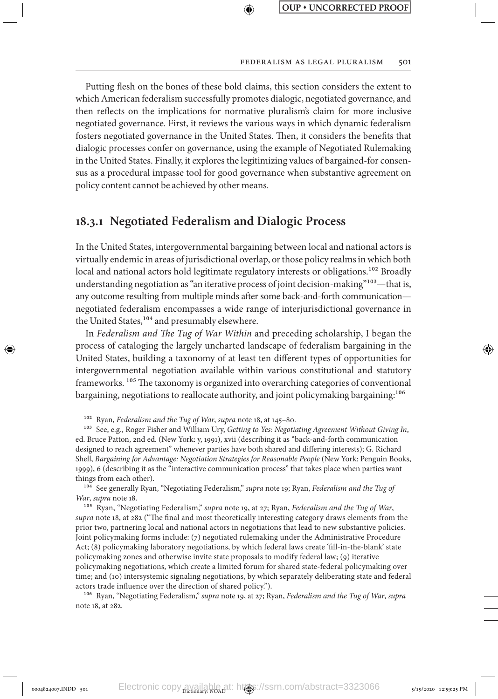#### FEDERALISM AS LEGAL PLURALISM 501

Putting flesh on the bones of these bold claims, this section considers the extent to which American federalism successfully promotes dialogic, negotiated governance, and then reflects on the implications for normative pluralism's claim for more inclusive negotiated governance. First, it reviews the various ways in which dynamic federalism fosters negotiated governance in the United States. Then, it considers the benefits that dialogic processes confer on governance, using the example of Negotiated Rulemaking in the United States. Finally, it explores the legitimizing values of bargained-for consensus as a procedural impasse tool for good governance when substantive agreement on policy content cannot be achieved by other means.

↔

## **18.3.1 Negotiated Federalism and Dialogic Process**

In the United States, intergovernmental bargaining between local and national actors is virtually endemic in areas of jurisdictional overlap, or those policy realms in which both local and national actors hold legitimate regulatory interests or obligations.<sup>102</sup> Broadly understanding negotiation as "an iterative process of joint decision-making"<sup>103</sup>—that is, any outcome resulting from multiple minds after some back-and-forth communication negotiated federalism encompasses a wide range of interjurisdictional governance in the United States,<sup>104</sup> and presumably elsewhere.

In *Federalism and The Tug of War Within* and preceding scholarship, I began the process of cataloging the largely uncharted landscape of federalism bargaining in the United States, building a taxonomy of at least ten different types of opportunities for intergovernmental negotiation available within various constitutional and statutory frameworks.<sup>105</sup> The taxonomy is organized into overarching categories of conventional bargaining, negotiations to reallocate authority, and joint policymaking bargaining:<sup>106</sup>

102 Ryan, *Federalism and the Tug of War*, *supra* note 18, at 145–80.

⊕

103 See, e.g., Roger Fisher and William Ury, *Getting to Yes: Negotiating Agreement Without Giving In*, ed. Bruce Patton, 2nd ed. (New York: y, 1991), xvii (describing it as "back-and-forth communication designed to reach agreement" whenever parties have both shared and differing interests); G. Richard Shell, *Bargaining for Advantage: Negotiation Strategies for Reasonable People* (New York: Penguin Books, 1999), 6 (describing it as the "interactive communication process" that takes place when parties want things from each other).

104 See generally Ryan, "Negotiating Federalism," *supra* note 19; Ryan, *Federalism and the Tug of War*, *supra* note 18.

105 Ryan, "Negotiating Federalism," *supra* note 19, at 27; Ryan, *Federalism and the Tug of War*, *supra* note 18, at 282 ("The final and most theoretically interesting category draws elements from the prior two, partnering local and national actors in negotiations that lead to new substantive policies. Joint policymaking forms include: (7) negotiated rulemaking under the Administrative Procedure Act; (8) policymaking laboratory negotiations, by which federal laws create 'fill-in-the-blank' state policymaking zones and otherwise invite state proposals to modify federal law; (9) iterative policymaking negotiations, which create a limited forum for shared state-federal policymaking over time; and (10) intersystemic signaling negotiations, by which separately deliberating state and federal actors trade influence over the direction of shared policy.").

106 Ryan, "Negotiating Federalism," *supra* note 19, at 27; Ryan, *Federalism and the Tug of War*, *supra* note 18, at 282.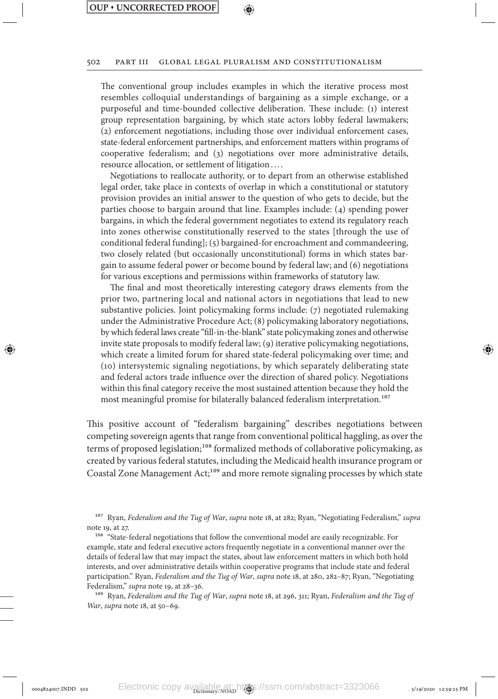⊕

### ↔

#### 502 Part III Global Legal Pluralism and Constitutionalism

The conventional group includes examples in which the iterative process most resembles colloquial understandings of bargaining as a simple exchange, or a purposeful and time-bounded collective deliberation. These include: (1) interest group representation bargaining, by which state actors lobby federal lawmakers; (2) enforcement negotiations, including those over individual enforcement cases, state-federal enforcement partnerships, and enforcement matters within programs of cooperative federalism; and (3) negotiations over more administrative details, resource allocation, or settlement of litigation. . . .

Negotiations to reallocate authority, or to depart from an otherwise established legal order, take place in contexts of overlap in which a constitutional or statutory provision provides an initial answer to the question of who gets to decide, but the parties choose to bargain around that line. Examples include: (4) spending power bargains, in which the federal government negotiates to extend its regulatory reach into zones otherwise constitutionally reserved to the states [through the use of conditional federal funding]; (5) bargained-for encroachment and commandeering, two closely related (but occasionally unconstitutional) forms in which states bargain to assume federal power or become bound by federal law; and (6) negotiations for various exceptions and permissions within frameworks of statutory law.

The final and most theoretically interesting category draws elements from the prior two, partnering local and national actors in negotiations that lead to new substantive policies. Joint policymaking forms include: (7) negotiated rulemaking under the Administrative Procedure Act; (8) policymaking laboratory negotiations, by which federal laws create "fill-in-the-blank" state policymaking zones and otherwise invite state proposals to modify federal law; (9) iterative policymaking negotiations, which create a limited forum for shared state-federal policymaking over time; and (10) intersystemic signaling negotiations, by which separately deliberating state and federal actors trade influence over the direction of shared policy. Negotiations within this final category receive the most sustained attention because they hold the most meaningful promise for bilaterally balanced federalism interpretation.<sup>107</sup>

This positive account of "federalism bargaining" describes negotiations between competing sovereign agents that range from conventional political haggling, as over the terms of proposed legislation;<sup>108</sup> formalized methods of collaborative policymaking, as created by various federal statutes, including the Medicaid health insurance program or Coastal Zone Management Act;<sup>109</sup> and more remote signaling processes by which state

107 Ryan, *Federalism and the Tug of War*, *supra* note 18, at 282; Ryan, "Negotiating Federalism," *supra* note 19, at 27.

<sup>108</sup> "State-federal negotiations that follow the conventional model are easily recognizable. For example, state and federal executive actors frequently negotiate in a conventional manner over the details of federal law that may impact the states, about law enforcement matters in which both hold interests, and over administrative details within cooperative programs that include state and federal participation." Ryan, *Federalism and the Tug of War*, *supra* note 18, at 280, 282–87; Ryan, "Negotiating Federalism," *supra* note 19, at 28–36.

109 Ryan, *Federalism and the Tug of War*, *supra* note 18, at 296, 311; Ryan, *Federalism and the Tug of War*, *supra* note 18, at 50–69.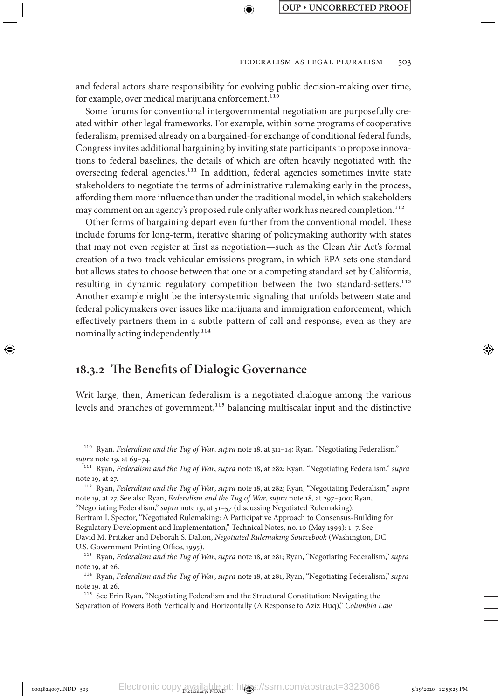and federal actors share responsibility for evolving public decision-making over time, for example, over medical marijuana enforcement.<sup>110</sup>

⊕

Some forums for conventional intergovernmental negotiation are purposefully created within other legal frameworks. For example, within some programs of cooperative federalism, premised already on a bargained-for exchange of conditional federal funds, Congress invites additional bargaining by inviting state participants to propose innovations to federal baselines, the details of which are often heavily negotiated with the overseeing federal agencies.<sup>111</sup> In addition, federal agencies sometimes invite state stakeholders to negotiate the terms of administrative rulemaking early in the process, affording them more influence than under the traditional model, in which stakeholders may comment on an agency's proposed rule only after work has neared completion.<sup>112</sup>

Other forms of bargaining depart even further from the conventional model. These include forums for long-term, iterative sharing of policymaking authority with states that may not even register at first as negotiation—such as the Clean Air Act's formal creation of a two-track vehicular emissions program, in which EPA sets one standard but allows states to choose between that one or a competing standard set by California, resulting in dynamic regulatory competition between the two standard-setters.<sup>113</sup> Another example might be the intersystemic signaling that unfolds between state and federal policymakers over issues like marijuana and immigration enforcement, which effectively partners them in a subtle pattern of call and response, even as they are nominally acting independently.<sup>114</sup>

### **18.3.2 The Benefits of Dialogic Governance**

↔

Writ large, then, American federalism is a negotiated dialogue among the various levels and branches of government,<sup>115</sup> balancing multiscalar input and the distinctive

110 Ryan, *Federalism and the Tug of War*, *supra* note 18, at 311–14; Ryan, "Negotiating Federalism," *supra* note 19, at 69–74.

111 Ryan, *Federalism and the Tug of War*, *supra* note 18, at 282; Ryan, "Negotiating Federalism," *supra* note 19, at 27.

112 Ryan, *Federalism and the Tug of War*, *supra* note 18, at 282; Ryan, "Negotiating Federalism," *supra* note 19, at 27. See also Ryan, *Federalism and the Tug of War*, *supra* note 18, at 297–300; Ryan, "Negotiating Federalism," *supra* note 19, at 51–57 (discussing Negotiated Rulemaking); Bertram I. Spector, "Negotiated Rulemaking: A Participative Approach to Consensus-Building for Regulatory Development and Implementation," Technical Notes, no. 10 (May 1999): 1–7. See David M. Pritzker and Deborah S. Dalton, *Negotiated Rulemaking Sourcebook* (Washington, DC: U.S. Government Printing Office, 1995).

113 Ryan, *Federalism and the Tug of War*, *supra* note 18, at 281; Ryan, "Negotiating Federalism," *supra* note 19, at 26.

114 Ryan, *Federalism and the Tug of War*, *supra* note 18, at 281; Ryan, "Negotiating Federalism," *supra* note 19, at 26.

115 See Erin Ryan, "Negotiating Federalism and the Structural Constitution: Navigating the Separation of Powers Both Vertically and Horizontally (A Response to Aziz Huq)," *Columbia Law*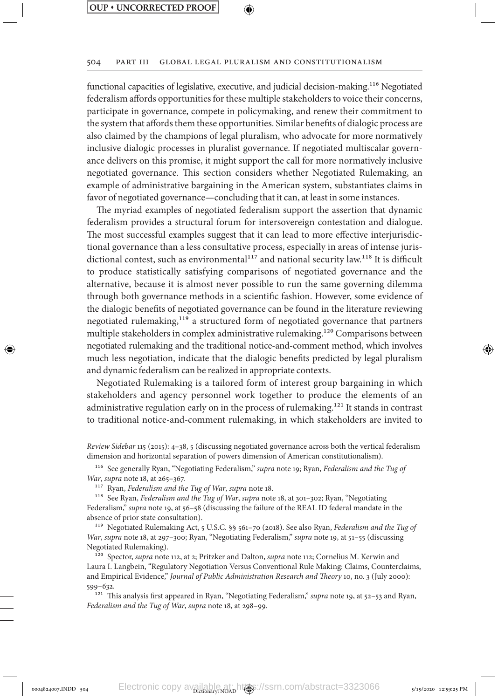### ↔

#### 504 Part III Global Legal Pluralism and Constitutionalism

functional capacities of legislative, executive, and judicial decision-making.<sup>116</sup> Negotiated federalism affords opportunities for these multiple stakeholders to voice their concerns, participate in governance, compete in policymaking, and renew their commitment to the system that affords them these opportunities. Similar benefits of dialogic process are also claimed by the champions of legal pluralism, who advocate for more normatively inclusive dialogic processes in pluralist governance. If negotiated multiscalar governance delivers on this promise, it might support the call for more normatively inclusive negotiated governance. This section considers whether Negotiated Rulemaking, an example of administrative bargaining in the American system, substantiates claims in favor of negotiated governance—concluding that it can, at least in some instances.

The myriad examples of negotiated federalism support the assertion that dynamic federalism provides a structural forum for intersovereign contestation and dialogue. The most successful examples suggest that it can lead to more effective interjurisdictional governance than a less consultative process, especially in areas of intense jurisdictional contest, such as environmental $117$  and national security law.<sup>118</sup> It is difficult to produce statistically satisfying comparisons of negotiated governance and the alternative, because it is almost never possible to run the same governing dilemma through both governance methods in a scientific fashion. However, some evidence of the dialogic benefits of negotiated governance can be found in the literature reviewing negotiated rulemaking,<sup>119</sup> a structured form of negotiated governance that partners multiple stakeholders in complex administrative rulemaking.120 Comparisons between negotiated rulemaking and the traditional notice-and-comment method, which involves much less negotiation, indicate that the dialogic benefits predicted by legal pluralism and dynamic federalism can be realized in appropriate contexts.

Negotiated Rulemaking is a tailored form of interest group bargaining in which stakeholders and agency personnel work together to produce the elements of an administrative regulation early on in the process of rulemaking.121 It stands in contrast to traditional notice-and-comment rulemaking, in which stakeholders are invited to

*Review Sidebar* 115 (2015): 4–38, 5 (discussing negotiated governance across both the vertical federalism dimension and horizontal separation of powers dimension of American constitutionalism).

116 See generally Ryan, "Negotiating Federalism," *supra* note 19; Ryan, *Federalism and the Tug of War*, *supra* note 18, at 265–367.

117 Ryan, *Federalism and the Tug of War*, *supra* note 18.

⊕

118 See Ryan, *Federalism and the Tug of War*, *supra* note 18, at 301–302; Ryan, "Negotiating Federalism," *supra* note 19, at 56–58 (discussing the failure of the REAL ID federal mandate in the absence of prior state consultation).

119 Negotiated Rulemaking Act, 5 U.S.C. §§ 561–70 (2018). See also Ryan, *Federalism and the Tug of War*, *supra* note 18, at 297–300; Ryan, "Negotiating Federalism," *supra* note 19, at 51–55 (discussing Negotiated Rulemaking).

120 Spector, *supra* note 112, at 2; Pritzker and Dalton, *supra* note 112; Cornelius M. Kerwin and Laura I. Langbein, "Regulatory Negotiation Versus Conventional Rule Making: Claims, Counterclaims, and Empirical Evidence," *Journal of Public Administration Research and Theory* 10, no. 3 (July 2000): 599–632.

121 This analysis first appeared in Ryan, "Negotiating Federalism," *supra* note 19, at 52–53 and Ryan, *Federalism and the Tug of War*, *supra* note 18, at 298–99.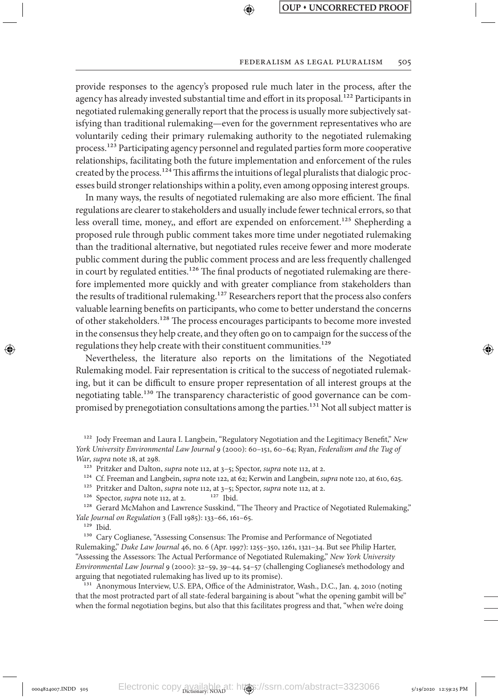#### FEDERALISM AS LEGAL PLURALISM 505

provide responses to the agency's proposed rule much later in the process, after the agency has already invested substantial time and effort in its proposal.<sup>122</sup> Participants in negotiated rulemaking generally report that the process is usually more subjectively satisfying than traditional rulemaking—even for the government representatives who are voluntarily ceding their primary rulemaking authority to the negotiated rulemaking process.<sup>123</sup> Participating agency personnel and regulated parties form more cooperative relationships, facilitating both the future implementation and enforcement of the rules created by the process.124 This affirms the intuitions of legal pluralists that dialogic processes build stronger relationships within a polity, even among opposing interest groups.

↔

In many ways, the results of negotiated rulemaking are also more efficient. The final regulations are clearer to stakeholders and usually include fewer technical errors, so that less overall time, money,, and effort are expended on enforcement.<sup>125</sup> Shepherding a proposed rule through public comment takes more time under negotiated rulemaking than the traditional alternative, but negotiated rules receive fewer and more moderate public comment during the public comment process and are less frequently challenged in court by regulated entities.<sup>126</sup> The final products of negotiated rulemaking are therefore implemented more quickly and with greater compliance from stakeholders than the results of traditional rulemaking.<sup>127</sup> Researchers report that the process also confers valuable learning benefits on participants, who come to better understand the concerns of other stakeholders.128 The process encourages participants to become more invested in the consensus they help create, and they often go on to campaign for the success of the regulations they help create with their constituent communities.<sup>129</sup>

Nevertheless, the literature also reports on the limitations of the Negotiated Rulemaking model. Fair representation is critical to the success of negotiated rulemaking, but it can be difficult to ensure proper representation of all interest groups at the negotiating table.130 The transparency characteristic of good governance can be compromised by prenegotiation consultations among the parties.<sup>131</sup> Not all subject matter is

124 Cf. Freeman and Langbein, *supra* note 122, at 62; Kerwin and Langbein, *supra* note 120, at 610, 625.

<sup>128</sup> Gerard McMahon and Lawrence Susskind, "The Theory and Practice of Negotiated Rulemaking," *Yale Journal on Regulation* 3 (Fall 1985): 133–66, 161–65.

129 Ibid.

⊕

130 Cary Coglianese, "Assessing Consensus: The Promise and Performance of Negotiated Rulemaking," *Duke Law Journal* 46, no. 6 (Apr. 1997): 1255–350, 1261, 1321–34. But see Philip Harter, "Assessing the Assessors: The Actual Performance of Negotiated Rulemaking," *New York University Environmental Law Journal* 9 (2000): 32–59, 39–44, 54–57 (challenging Coglianese's methodology and arguing that negotiated rulemaking has lived up to its promise).

<sup>131</sup> Anonymous Interview, U.S. EPA, Office of the Administrator, Wash., D.C., Jan. 4, 2010 (noting that the most protracted part of all state-federal bargaining is about "what the opening gambit will be" when the formal negotiation begins, but also that this facilitates progress and that, "when we're doing

<sup>122</sup> Jody Freeman and Laura I. Langbein, "Regulatory Negotiation and the Legitimacy Benefit," *New York University Environmental Law Journal* 9 (2000): 60–151, 60–64; Ryan, *Federalism and the Tug of War*, *supra* note 18, at 298.

<sup>123</sup> Pritzker and Dalton, *supra* note 112, at 3–5; Spector, *supra* note 112, at 2.

<sup>&</sup>lt;sup>125</sup> Pritzker and Dalton, *supra* note 112, at 3–5; Spector, *supra* note 112, at 2.<sup>126</sup> Spector, *supra* note 112, at 2.<sup>127</sup> Ibid.

<sup>&</sup>lt;sup>126</sup> Spector, *supra* note 112, at 2.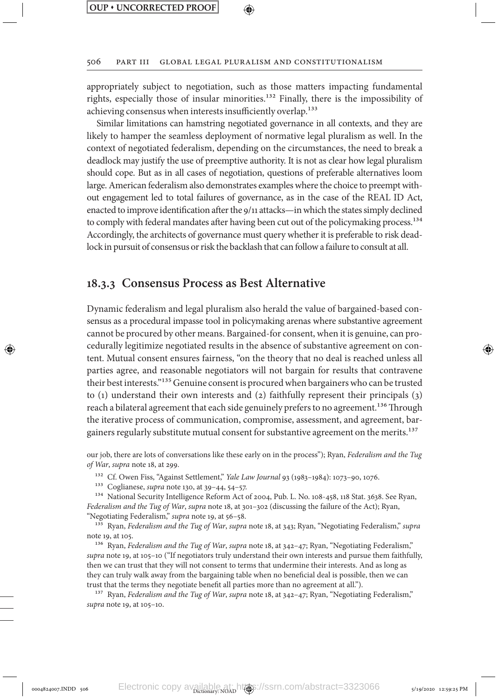506 Part III Global Legal Pluralism and Constitutionalism

appropriately subject to negotiation, such as those matters impacting fundamental rights, especially those of insular minorities.<sup>132</sup> Finally, there is the impossibility of achieving consensus when interests insufficiently overlap.<sup>133</sup>

Similar limitations can hamstring negotiated governance in all contexts, and they are likely to hamper the seamless deployment of normative legal pluralism as well. In the context of negotiated federalism, depending on the circumstances, the need to break a deadlock may justify the use of preemptive authority. It is not as clear how legal pluralism should cope. But as in all cases of negotiation, questions of preferable alternatives loom large. American federalism also demonstrates examples where the choice to preempt without engagement led to total failures of governance, as in the case of the REAL ID Act, enacted to improve identification after the 9/11 attacks—in which the states simply declined to comply with federal mandates after having been cut out of the policymaking process.134 Accordingly, the architects of governance must query whether it is preferable to risk deadlock in pursuit of consensus or risk the backlash that can follow a failure to consult at all.

### **18.3.3 Consensus Process as Best Alternative**

Dynamic federalism and legal pluralism also herald the value of bargained-based consensus as a procedural impasse tool in policymaking arenas where substantive agreement cannot be procured by other means. Bargained-for consent, when it is genuine, can procedurally legitimize negotiated results in the absence of substantive agreement on content. Mutual consent ensures fairness, "on the theory that no deal is reached unless all parties agree, and reasonable negotiators will not bargain for results that contravene their best interests."135 Genuine consent is procured when bargainers who can be trusted to (1) understand their own interests and (2) faithfully represent their principals (3) reach a bilateral agreement that each side genuinely prefers to no agreement.<sup>136</sup> Through the iterative process of communication, compromise, assessment, and agreement, bargainers regularly substitute mutual consent for substantive agreement on the merits.<sup>137</sup>

our job, there are lots of conversations like these early on in the process"); Ryan, *Federalism and the Tug of War*, *supra* note 18, at 299.

132 Cf. Owen Fiss, "Against Settlement," *Yale Law Journal* 93 (1983–1984): 1073–90, 1076.

133 Coglianese, *supra* note 130, at 39–44, 54–57.

⊕

134 National Security Intelligence Reform Act of 2004, Pub. L. No. 108-458, 118 Stat. 3638. See Ryan, *Federalism and the Tug of War*, *supra* note 18, at 301–302 (discussing the failure of the Act); Ryan, "Negotiating Federalism," *supra* note 19, at 56–58.

135 Ryan, *Federalism and the Tug of War*, *supra* note 18, at 343; Ryan, "Negotiating Federalism," *supra* note 19, at 105.

136 Ryan, *Federalism and the Tug of War*, *supra* note 18, at 342–47; Ryan, "Negotiating Federalism," *supra* note 19, at 105–10 ("If negotiators truly understand their own interests and pursue them faithfully, then we can trust that they will not consent to terms that undermine their interests. And as long as they can truly walk away from the bargaining table when no beneficial deal is possible, then we can trust that the terms they negotiate benefit all parties more than no agreement at all.").

137 Ryan, *Federalism and the Tug of War*, *supra* note 18, at 342–47; Ryan, "Negotiating Federalism," *supra* note 19, at 105–10.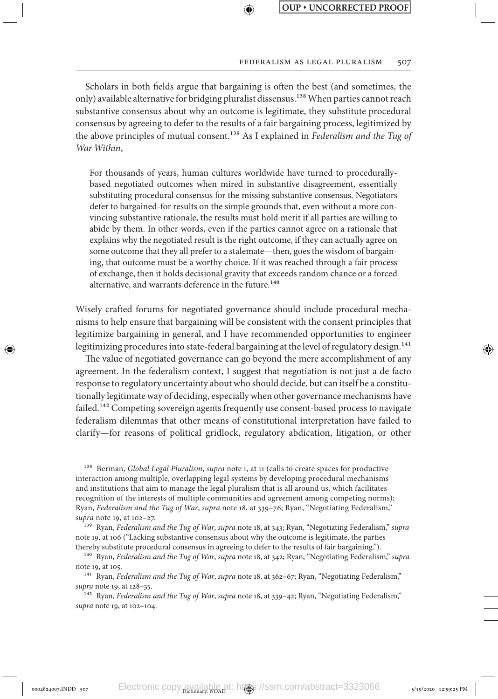#### FEDERALISM AS LEGAL PLURALISM 507

Scholars in both fields argue that bargaining is often the best (and sometimes, the only) available alternative for bridging pluralist dissensus.<sup>138</sup> When parties cannot reach substantive consensus about why an outcome is legitimate, they substitute procedural consensus by agreeing to defer to the results of a fair bargaining process, legitimized by the above principles of mutual consent.139 As I explained in *Federalism and the Tug of War Within*,

↔

For thousands of years, human cultures worldwide have turned to procedurallybased negotiated outcomes when mired in substantive disagreement, essentially substituting procedural consensus for the missing substantive consensus. Negotiators defer to bargained-for results on the simple grounds that, even without a more convincing substantive rationale, the results must hold merit if all parties are willing to abide by them. In other words, even if the parties cannot agree on a rationale that explains why the negotiated result is the right outcome, if they can actually agree on some outcome that they all prefer to a stalemate—then, goes the wisdom of bargaining, that outcome must be a worthy choice. If it was reached through a fair process of exchange, then it holds decisional gravity that exceeds random chance or a forced alternative, and warrants deference in the future.<sup>140</sup>

Wisely crafted forums for negotiated governance should include procedural mechanisms to help ensure that bargaining will be consistent with the consent principles that legitimize bargaining in general, and I have recommended opportunities to engineer legitimizing procedures into state-federal bargaining at the level of regulatory design.<sup>141</sup>

⊕

The value of negotiated governance can go beyond the mere accomplishment of any agreement. In the federalism context, I suggest that negotiation is not just a de facto response to regulatory uncertainty about who should decide, but can itself be a constitutionally legitimate way of deciding, especially when other governance mechanisms have failed.<sup>142</sup> Competing sovereign agents frequently use consent-based process to navigate federalism dilemmas that other means of constitutional interpretation have failed to clarify—for reasons of political gridlock, regulatory abdication, litigation, or other

138 Berman, *Global Legal Pluralism*, *supra* note 1, at 11 (calls to create spaces for productive interaction among multiple, overlapping legal systems by developing procedural mechanisms and institutions that aim to manage the legal pluralism that is all around us, which facilitates recognition of the interests of multiple communities and agreement among competing norms); Ryan, *Federalism and the Tug of War*, *supra* note 18, at 339–76; Ryan, "Negotiating Federalism," *supra* note 19, at 102–27.

139 Ryan, *Federalism and the Tug of War*, *supra* note 18, at 343; Ryan, "Negotiating Federalism," *supra* note 19, at 106 ("Lacking substantive consensus about why the outcome is legitimate, the parties thereby substitute procedural consensus in agreeing to defer to the results of fair bargaining.").

140 Ryan, *Federalism and the Tug of War*, *supra* note 18, at 342; Ryan, "Negotiating Federalism," *supra* note 19, at 105.

141 Ryan, *Federalism and the Tug of War*, *supra* note 18, at 362–67; Ryan, "Negotiating Federalism," *supra* note 19, at 128–35.

142 Ryan, *Federalism and the Tug of War*, *supra* note 18, at 339–42; Ryan, "Negotiating Federalism," *supra* note 19, at 102–104.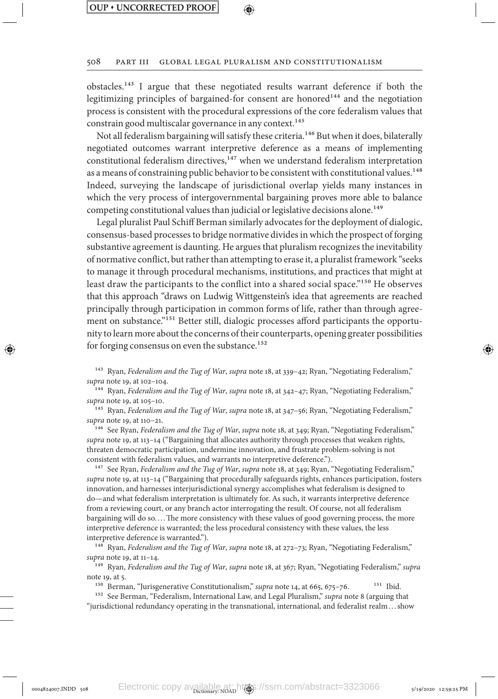⊕

#### 508 Part III Global Legal Pluralism and Constitutionalism

obstacles.143 I argue that these negotiated results warrant deference if both the legitimizing principles of bargained-for consent are honored<sup>144</sup> and the negotiation process is consistent with the procedural expressions of the core federalism values that constrain good multiscalar governance in any context.<sup>145</sup>

Not all federalism bargaining will satisfy these criteria.<sup>146</sup> But when it does, bilaterally negotiated outcomes warrant interpretive deference as a means of implementing constitutional federalism directives, $147$  when we understand federalism interpretation as a means of constraining public behavior to be consistent with constitutional values.<sup>148</sup> Indeed, surveying the landscape of jurisdictional overlap yields many instances in which the very process of intergovernmental bargaining proves more able to balance competing constitutional values than judicial or legislative decisions alone.<sup>149</sup>

Legal pluralist Paul Schiff Berman similarly advocates for the deployment of dialogic, consensus-based processes to bridge normative divides in which the prospect of forging substantive agreement is daunting. He argues that pluralism recognizes the inevitability of normative conflict, but rather than attempting to erase it, a pluralist framework "seeks to manage it through procedural mechanisms, institutions, and practices that might at least draw the participants to the conflict into a shared social space."150 He observes that this approach "draws on Ludwig Wittgenstein's idea that agreements are reached principally through participation in common forms of life, rather than through agreement on substance."<sup>151</sup> Better still, dialogic processes afford participants the opportunity to learn more about the concerns of their counterparts, opening greater possibilities for forging consensus on even the substance.<sup>152</sup>

143 Ryan, *Federalism and the Tug of War*, *supra* note 18, at 339–42; Ryan, "Negotiating Federalism," *supra* note 19, at 102–104.

144 Ryan, *Federalism and the Tug of War*, *supra* note 18, at 342–47; Ryan, "Negotiating Federalism," *supra* note 19, at 105–10.

145 Ryan, *Federalism and the Tug of War*, *supra* note 18, at 347–56; Ryan, "Negotiating Federalism," *supra* note 19, at 110–21.

146 See Ryan, *Federalism and the Tug of War*, *supra* note 18, at 349; Ryan, "Negotiating Federalism," *supra* note 19, at 113–14 ("Bargaining that allocates authority through processes that weaken rights, threaten democratic participation, undermine innovation, and frustrate problem-solving is not consistent with federalism values, and warrants no interpretive deference.").

<sup>147</sup> See Ryan, *Federalism and the Tug of War*, *supra* note 18, at 349; Ryan, "Negotiating Federalism," *supra* note 19, at 113–14 ("Bargaining that procedurally safeguards rights, enhances participation, fosters innovation, and harnesses interjurisdictional synergy accomplishes what federalism is designed to do—and what federalism interpretation is ultimately for. As such, it warrants interpretive deference from a reviewing court, or any branch actor interrogating the result. Of course, not all federalism bargaining will do so.... The more consistency with these values of good governing process, the more interpretive deference is warranted; the less procedural consistency with these values, the less interpretive deference is warranted.").

148 Ryan, *Federalism and the Tug of War*, *supra* note 18, at 272–73; Ryan, "Negotiating Federalism," *supra* note 19, at 11–14.

149 Ryan, *Federalism and the Tug of War*, *supra* note 18, at 367; Ryan, "Negotiating Federalism," *supra* note 19, at 5.

<sup>150</sup> Berman, "Jurisgenerative Constitutionalism," *supra* note 14, at 665, 675-76. <sup>151</sup> Ibid.

152 See Berman, "Federalism, International Law, and Legal Pluralism," *supra* note 8 (arguing that "jurisdictional redundancy operating in the transnational, international, and federalist realm. . .show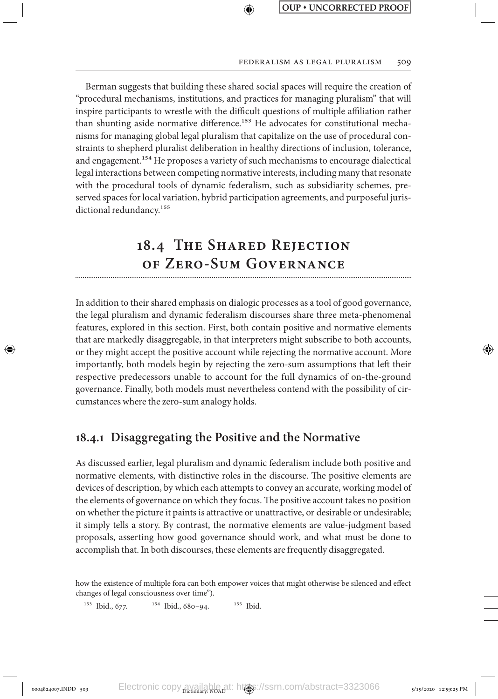#### FEDERALISM AS LEGAL PLURALISM 509

Berman suggests that building these shared social spaces will require the creation of "procedural mechanisms, institutions, and practices for managing pluralism" that will inspire participants to wrestle with the difficult questions of multiple affiliation rather than shunting aside normative difference.<sup>153</sup> He advocates for constitutional mechanisms for managing global legal pluralism that capitalize on the use of procedural constraints to shepherd pluralist deliberation in healthy directions of inclusion, tolerance, and engagement.<sup>154</sup> He proposes a variety of such mechanisms to encourage dialectical legal interactions between competing normative interests, including many that resonate with the procedural tools of dynamic federalism, such as subsidiarity schemes, preserved spaces for local variation, hybrid participation agreements, and purposeful jurisdictional redundancy.<sup>155</sup>

⊕

# **18.4 The Shared Rejection of Zero-Sum Governance**

In addition to their shared emphasis on dialogic processes as a tool of good governance, the legal pluralism and dynamic federalism discourses share three meta-phenomenal features, explored in this section. First, both contain positive and normative elements that are markedly disaggregable, in that interpreters might subscribe to both accounts, or they might accept the positive account while rejecting the normative account. More importantly, both models begin by rejecting the zero-sum assumptions that left their respective predecessors unable to account for the full dynamics of on-the-ground governance. Finally, both models must nevertheless contend with the possibility of circumstances where the zero-sum analogy holds.

### **18.4.1 Disaggregating the Positive and the Normative**

As discussed earlier, legal pluralism and dynamic federalism include both positive and normative elements, with distinctive roles in the discourse. The positive elements are devices of description, by which each attempts to convey an accurate, working model of the elements of governance on which they focus. The positive account takes no position on whether the picture it paints is attractive or unattractive, or desirable or undesirable; it simply tells a story. By contrast, the normative elements are value-judgment based proposals, asserting how good governance should work, and what must be done to accomplish that. In both discourses, these elements are frequently disaggregated.

how the existence of multiple fora can both empower voices that might otherwise be silenced and effect changes of legal consciousness over time").

<sup>153</sup> Ibid., 677. <sup>154</sup> Ibid., 680-94. <sup>155</sup> Ibid.

↔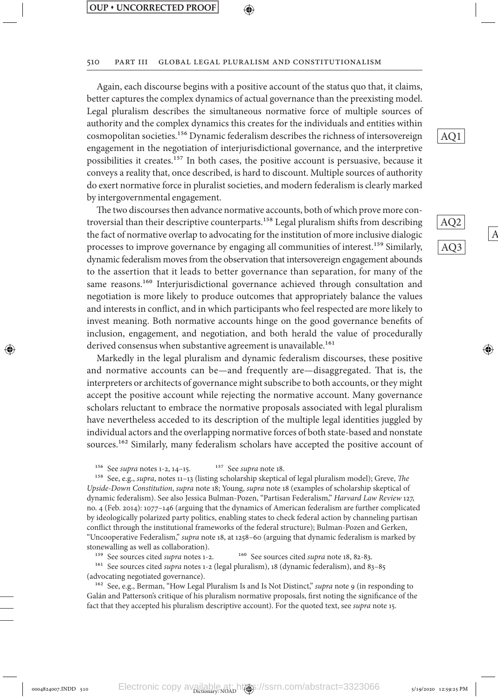#### 510 Part III Global Legal Pluralism and Constitutionalism

Again, each discourse begins with a positive account of the status quo that, it claims, better captures the complex dynamics of actual governance than the preexisting model. Legal pluralism describes the simultaneous normative force of multiple sources of authority and the complex dynamics this creates for the individuals and entities within cosmopolitan societies.156 Dynamic federalism describes the richness of intersovereign engagement in the negotiation of interjurisdictional governance, and the interpretive possibilities it creates.157 In both cases, the positive account is persuasive, because it conveys a reality that, once described, is hard to discount. Multiple sources of authority do exert normative force in pluralist societies, and modern federalism is clearly marked by intergovernmental engagement.

The two discourses then advance normative accounts, both of which prove more controversial than their descriptive counterparts.<sup>158</sup> Legal pluralism shifts from describing the fact of normative overlap to advocating for the institution of more inclusive dialogic processes to improve governance by engaging all communities of interest.<sup>159</sup> Similarly, dynamic federalism moves from the observation that intersovereign engagement abounds to the assertion that it leads to better governance than separation, for many of the same reasons.<sup>160</sup> Interjurisdictional governance achieved through consultation and negotiation is more likely to produce outcomes that appropriately balance the values and interests in conflict, and in which participants who feel respected are more likely to invest meaning. Both normative accounts hinge on the good governance benefits of inclusion, engagement, and negotiation, and both herald the value of procedurally derived consensus when substantive agreement is unavailable.<sup>161</sup>

Markedly in the legal pluralism and dynamic federalism discourses, these positive and normative accounts can be—and frequently are—disaggregated. That is, the interpreters or architects of governance might subscribe to both accounts, or they might accept the positive account while rejecting the normative account. Many governance scholars reluctant to embrace the normative proposals associated with legal pluralism have nevertheless acceded to its description of the multiple legal identities juggled by individual actors and the overlapping normative forces of both state-based and nonstate sources.<sup>162</sup> Similarly, many federalism scholars have accepted the positive account of

<sup>156</sup> See *supra* notes 1-2, 14–15. <sup>157</sup> See *supra* note 18.

158 See, e.g., *supra*, notes 11–13 (listing scholarship skeptical of legal pluralism model); Greve, *The Upside-Down Constitution*, *supra* note 18; Young, *supra* note 18 (examples of scholarship skeptical of dynamic federalism). See also Jessica Bulman-Pozen, "Partisan Federalism," *Harvard Law Review* 127, no. 4 (Feb. 2014): 1077–146 (arguing that the dynamics of American federalism are further complicated by ideologically polarized party politics, enabling states to check federal action by channeling partisan conflict through the institutional frameworks of the federal structure); Bulman-Pozen and Gerken, "Uncooperative Federalism," *supra* note 18, at 1258–60 (arguing that dynamic federalism is marked by stonewalling as well as collaboration).

<sup>159</sup> See sources cited *supra* notes 1-2. <sup>160</sup> See sources cited *supra* note 18, 82-83.

161 See sources cited *supra* notes 1-2 (legal pluralism), 18 (dynamic federalism), and 83–85 (advocating negotiated governance).

162 See, e.g., Berman, "How Legal Pluralism Is and Is Not Distinct," *supra* note 9 (in responding to Galán and Patterson's critique of his pluralism normative proposals, first noting the significance of the fact that they accepted his pluralism descriptive account). For the quoted text, see *supra* note 15.

AQ1

AQ2 AQ3

 $\mathsf{A}$ 

⊕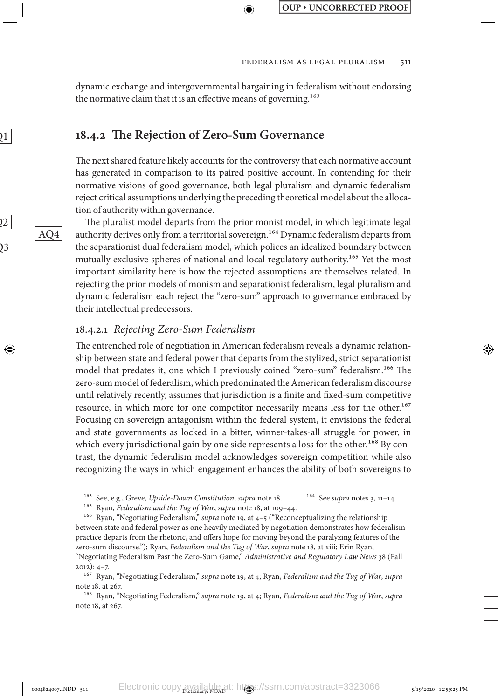dynamic exchange and intergovernmental bargaining in federalism without endorsing the normative claim that it is an effective means of governing.<sup>163</sup>

↔

### **18.4.2 The Rejection of Zero-Sum Governance**

The next shared feature likely accounts for the controversy that each normative account has generated in comparison to its paired positive account. In contending for their normative visions of good governance, both legal pluralism and dynamic federalism reject critical assumptions underlying the preceding theoretical model about the allocation of authority within governance.

The pluralist model departs from the prior monist model, in which legitimate legal authority derives only from a territorial sovereign.<sup>164</sup> Dynamic federalism departs from the separationist dual federalism model, which polices an idealized boundary between mutually exclusive spheres of national and local regulatory authority.<sup>165</sup> Yet the most important similarity here is how the rejected assumptions are themselves related. In rejecting the prior models of monism and separationist federalism, legal pluralism and dynamic federalism each reject the "zero-sum" approach to governance embraced by their intellectual predecessors.

### 18.4.2.1 *Rejecting Zero-Sum Federalism*

The entrenched role of negotiation in American federalism reveals a dynamic relationship between state and federal power that departs from the stylized, strict separationist model that predates it, one which I previously coined "zero-sum" federalism.166 The zero-sum model of federalism, which predominated the American federalism discourse until relatively recently, assumes that jurisdiction is a finite and fixed-sum competitive resource, in which more for one competitor necessarily means less for the other.<sup>167</sup> Focusing on sovereign antagonism within the federal system, it envisions the federal and state governments as locked in a bitter, winner-takes-all struggle for power, in which every jurisdictional gain by one side represents a loss for the other.<sup>168</sup> By contrast, the dynamic federalism model acknowledges sovereign competition while also recognizing the ways in which engagement enhances the ability of both sovereigns to

165 Ryan, *Federalism and the Tug of War*, *supra* note 18, at 109–44.

166 Ryan, "Negotiating Federalism," *supra* note 19, at 4–5 ("Reconceptualizing the relationship between state and federal power as one heavily mediated by negotiation demonstrates how federalism practice departs from the rhetoric, and offers hope for moving beyond the paralyzing features of the zero-sum discourse."); Ryan, *Federalism and the Tug of War*, *supra* note 18, at xiii; Erin Ryan,

168 Ryan, "Negotiating Federalism," *supra* note 19, at 4; Ryan, *Federalism and the Tug of War*, *supra* note 18, at 267.

 $\overline{2}$ 

 $\overline{\mathfrak{Z}}$ 

↔

 $1$ 

AQ4

<sup>&</sup>lt;sup>163</sup> See, e.g., Greve, *Upside-Down Constitution*, *supra* note 18. <sup>164</sup> See *supra* notes 3, 11-14.

<sup>&</sup>quot;Negotiating Federalism Past the Zero-Sum Game," *Administrative and Regulatory Law News* 38 (Fall 2012): 4–7.

<sup>167</sup> Ryan, "Negotiating Federalism," *supra* note 19, at 4; Ryan, *Federalism and the Tug of War*, *supra* note 18, at 267.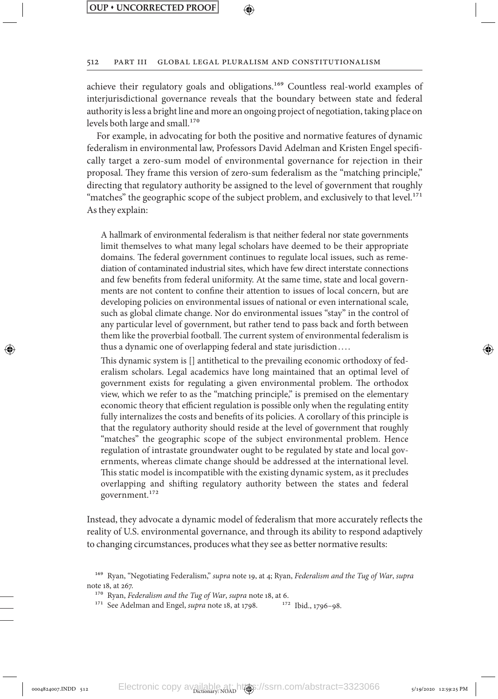⊕

#### ⊕

#### 512 Part III Global Legal Pluralism and Constitutionalism

achieve their regulatory goals and obligations.169 Countless real-world examples of interjurisdictional governance reveals that the boundary between state and federal authority is less a bright line and more an ongoing project of negotiation, taking place on levels both large and small.<sup>170</sup>

For example, in advocating for both the positive and normative features of dynamic federalism in environmental law, Professors David Adelman and Kristen Engel specifically target a zero-sum model of environmental governance for rejection in their proposal. They frame this version of zero-sum federalism as the "matching principle," directing that regulatory authority be assigned to the level of government that roughly "matches" the geographic scope of the subject problem, and exclusively to that level.<sup>171</sup> As they explain:

A hallmark of environmental federalism is that neither federal nor state governments limit themselves to what many legal scholars have deemed to be their appropriate domains. The federal government continues to regulate local issues, such as remediation of contaminated industrial sites, which have few direct interstate connections and few benefits from federal uniformity. At the same time, state and local governments are not content to confine their attention to issues of local concern, but are developing policies on environmental issues of national or even international scale, such as global climate change. Nor do environmental issues "stay" in the control of any particular level of government, but rather tend to pass back and forth between them like the proverbial football. The current system of environmental federalism is thus a dynamic one of overlapping federal and state jurisdiction. . . .

This dynamic system is [] antithetical to the prevailing economic orthodoxy of federalism scholars. Legal academics have long maintained that an optimal level of government exists for regulating a given environmental problem. The orthodox view, which we refer to as the "matching principle," is premised on the elementary economic theory that efficient regulation is possible only when the regulating entity fully internalizes the costs and benefits of its policies. A corollary of this principle is that the regulatory authority should reside at the level of government that roughly "matches" the geographic scope of the subject environmental problem. Hence regulation of intrastate groundwater ought to be regulated by state and local governments, whereas climate change should be addressed at the international level. This static model is incompatible with the existing dynamic system, as it precludes overlapping and shifting regulatory authority between the states and federal government.172

Instead, they advocate a dynamic model of federalism that more accurately reflects the reality of U.S. environmental governance, and through its ability to respond adaptively to changing circumstances, produces what they see as better normative results:

<sup>169</sup> Ryan, "Negotiating Federalism," *supra* note 19, at 4; Ryan, *Federalism and the Tug of War*, *supra* note 18, at 267.

<sup>&</sup>lt;sup>170</sup> Ryan, *Federalism and the Tug of War*, *supra* note 18, at 6.<br><sup>171</sup> See Adelman and Engel, *supra* note 18, at 1798. <sup>172</sup> Ibid., 1796–98. <sup>171</sup> See Adelman and Engel, *supra* note 18, at 1798.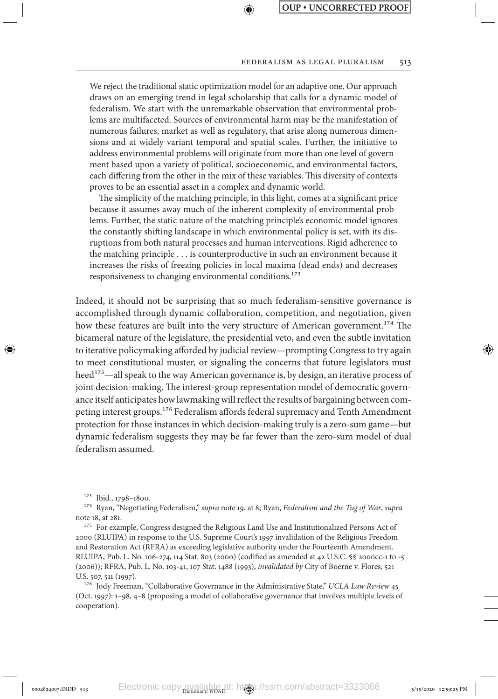#### FEDERALISM AS LEGAL PLURALISM 513

We reject the traditional static optimization model for an adaptive one. Our approach draws on an emerging trend in legal scholarship that calls for a dynamic model of federalism. We start with the unremarkable observation that environmental problems are multifaceted. Sources of environmental harm may be the manifestation of numerous failures, market as well as regulatory, that arise along numerous dimensions and at widely variant temporal and spatial scales. Further, the initiative to address environmental problems will originate from more than one level of government based upon a variety of political, socioeconomic, and environmental factors, each differing from the other in the mix of these variables. This diversity of contexts proves to be an essential asset in a complex and dynamic world.

↔

The simplicity of the matching principle, in this light, comes at a significant price because it assumes away much of the inherent complexity of environmental problems. Further, the static nature of the matching principle's economic model ignores the constantly shifting landscape in which environmental policy is set, with its disruptions from both natural processes and human interventions. Rigid adherence to the matching principle . . . is counterproductive in such an environment because it increases the risks of freezing policies in local maxima (dead ends) and decreases responsiveness to changing environmental conditions.<sup>173</sup>

Indeed, it should not be surprising that so much federalism-sensitive governance is accomplished through dynamic collaboration, competition, and negotiation, given how these features are built into the very structure of American government.<sup>174</sup> The bicameral nature of the legislature, the presidential veto, and even the subtle invitation to iterative policymaking afforded by judicial review—prompting Congress to try again to meet constitutional muster, or signaling the concerns that future legislators must heed<sup>175</sup>—all speak to the way American governance is, by design, an iterative process of joint decision-making. The interest-group representation model of democratic governance itself anticipates how lawmaking will reflect the results of bargaining between competing interest groups.176 Federalism affords federal supremacy and Tenth Amendment protection for those instances in which decision-making truly is a zero-sum game—but dynamic federalism suggests they may be far fewer than the zero-sum model of dual federalism assumed.

⊕

176 Jody Freeman, "Collaborative Governance in the Administrative State," *UCLA Law Review* 45 (Oct. 1997): 1–98, 4–8 (proposing a model of collaborative governance that involves multiple levels of cooperation).

<sup>173</sup> Ibid., 1798–1800.

<sup>174</sup> Ryan, "Negotiating Federalism," *supra* note 19, at 8; Ryan, *Federalism and the Tug of War*, *supra* note 18, at 281.

<sup>&</sup>lt;sup>175</sup> For example, Congress designed the Religious Land Use and Institutionalized Persons Act of 2000 (RLUIPA) in response to the U.S. Supreme Court's 1997 invalidation of the Religious Freedom and Restoration Act (RFRA) as exceeding legislative authority under the Fourteenth Amendment. RLUIPA, Pub. L. No. 106-274, 114 Stat. 803 (2000) (codified as amended at 42 U.S.C. §§ 2000cc-1 to -5 (2006)); RFRA, Pub. L. No. 103-41, 107 Stat. 1488 (1993), *invalidated by* City of Boerne v. Flores, 521 U.S. 507, 511 (1997).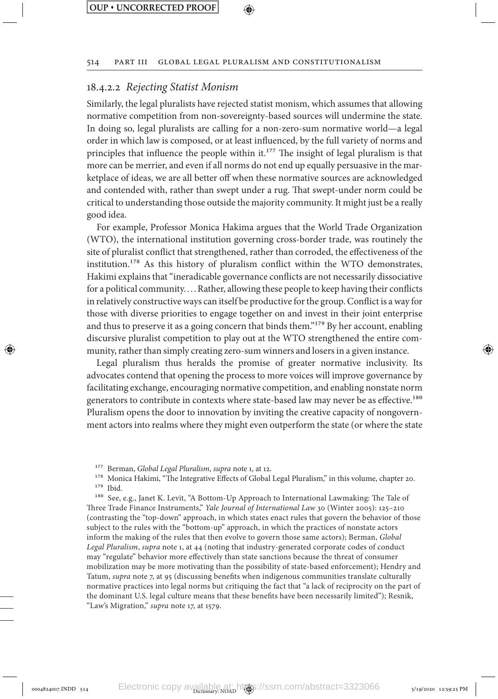### 514 Part III Global Legal Pluralism and Constitutionalism

↔

## 18.4.2.2 *Rejecting Statist Monism*

Similarly, the legal pluralists have rejected statist monism, which assumes that allowing normative competition from non-sovereignty-based sources will undermine the state. In doing so, legal pluralists are calling for a non-zero-sum normative world—a legal order in which law is composed, or at least influenced, by the full variety of norms and principles that influence the people within it.<sup>177</sup> The insight of legal pluralism is that more can be merrier, and even if all norms do not end up equally persuasive in the marketplace of ideas, we are all better off when these normative sources are acknowledged and contended with, rather than swept under a rug. That swept-under norm could be critical to understanding those outside the majority community. It might just be a really good idea.

For example, Professor Monica Hakima argues that the World Trade Organization (WTO), the international institution governing cross-border trade, was routinely the site of pluralist conflict that strengthened, rather than corroded, the effectiveness of the institution.178 As this history of pluralism conflict within the WTO demonstrates, Hakimi explains that "ineradicable governance conflicts are not necessarily dissociative for a political community. . . .Rather, allowing these people to keep having their conflicts in relatively constructive ways can itself be productive for the group. Conflict is a way for those with diverse priorities to engage together on and invest in their joint enterprise and thus to preserve it as a going concern that binds them."179 By her account, enabling discursive pluralist competition to play out at the WTO strengthened the entire community, rather than simply creating zero-sum winners and losers in a given instance.

Legal pluralism thus heralds the promise of greater normative inclusivity. Its advocates contend that opening the process to more voices will improve governance by facilitating exchange, encouraging normative competition, and enabling nonstate norm generators to contribute in contexts where state-based law may never be as effective.180 Pluralism opens the door to innovation by inviting the creative capacity of nongovernment actors into realms where they might even outperform the state (or where the state

⊕

180 See, e.g., Janet K. Levit, "A Bottom-Up Approach to International Lawmaking: The Tale of Three Trade Finance Instruments," *Yale Journal of International Law* 30 (Winter 2005): 125–210 (contrasting the "top-down" approach, in which states enact rules that govern the behavior of those subject to the rules with the "bottom-up" approach, in which the practices of nonstate actors inform the making of the rules that then evolve to govern those same actors); Berman, *Global Legal Pluralism*, *supra* note 1, at 44 (noting that industry-generated corporate codes of conduct may "regulate" behavior more effectively than state sanctions because the threat of consumer mobilization may be more motivating than the possibility of state-based enforcement); Hendry and Tatum, *supra* note 7, at 95 (discussing benefits when indigenous communities translate culturally normative practices into legal norms but critiquing the fact that "a lack of reciprocity on the part of the dominant U.S. legal culture means that these benefits have been necessarily limited"); Resnik, "Law's Migration," *supra* note 17, at 1579.

<sup>177</sup> Berman, *Global Legal Pluralism*, *supra* note 1, at 12.

<sup>&</sup>lt;sup>178</sup> Monica Hakimi, "The Integrative Effects of Global Legal Pluralism," in this volume, chapter 20. 179 Ibid.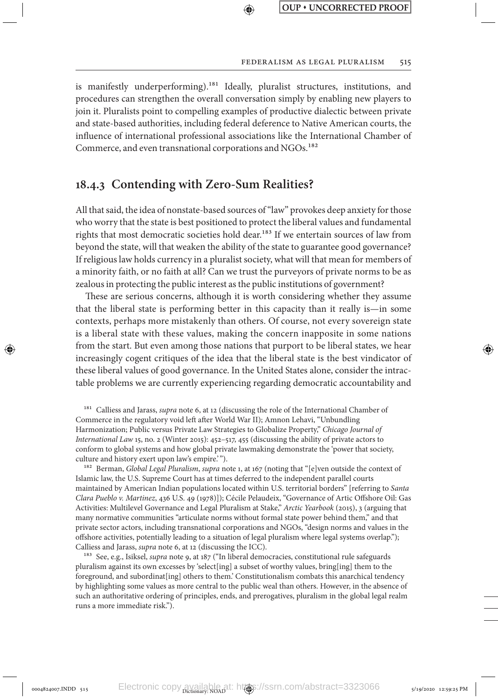↔

is manifestly underperforming).<sup>181</sup> Ideally, pluralist structures, institutions, and procedures can strengthen the overall conversation simply by enabling new players to join it. Pluralists point to compelling examples of productive dialectic between private and state-based authorities, including federal deference to Native American courts, the influence of international professional associations like the International Chamber of Commerce, and even transnational corporations and NGOs.<sup>182</sup>

## **18.4.3 Contending with Zero-Sum Realities?**

↔

All that said, the idea of nonstate-based sources of "law" provokes deep anxiety for those who worry that the state is best positioned to protect the liberal values and fundamental rights that most democratic societies hold dear.<sup>183</sup> If we entertain sources of law from beyond the state, will that weaken the ability of the state to guarantee good governance? If religious law holds currency in a pluralist society, what will that mean for members of a minority faith, or no faith at all? Can we trust the purveyors of private norms to be as zealous in protecting the public interest as the public institutions of government?

These are serious concerns, although it is worth considering whether they assume that the liberal state is performing better in this capacity than it really is—in some contexts, perhaps more mistakenly than others. Of course, not every sovereign state is a liberal state with these values, making the concern inapposite in some nations from the start. But even among those nations that purport to be liberal states, we hear increasingly cogent critiques of the idea that the liberal state is the best vindicator of these liberal values of good governance. In the United States alone, consider the intractable problems we are currently experiencing regarding democratic accountability and

181 Calliess and Jarass, *supra* note 6, at 12 (discussing the role of the International Chamber of Commerce in the regulatory void left after World War II); Amnon Lehavi, "Unbundling Harmonization; Public versus Private Law Strategies to Globalize Property," *Chicago Journal of International Law* 15, no. 2 (Winter 2015): 452–517, 455 (discussing the ability of private actors to conform to global systems and how global private lawmaking demonstrate the 'power that society, culture and history exert upon law's empire.'").

182 Berman, *Global Legal Pluralism*, *supra* note 1, at 167 (noting that "[e]ven outside the context of Islamic law, the U.S. Supreme Court has at times deferred to the independent parallel courts maintained by American Indian populations located within U.S. territorial borders" [referring to *Santa Clara Pueblo v. Martinez*, 436 U.S. 49 (1978)]); Cécile Pelaudeix, "Governance of Artic Offshore Oil: Gas Activities: Multilevel Governance and Legal Pluralism at Stake," *Arctic Yearbook* (2015), 3 (arguing that many normative communities "articulate norms without formal state power behind them," and that private sector actors, including transnational corporations and NGOs, "design norms and values in the offshore activities, potentially leading to a situation of legal pluralism where legal systems overlap."); Calliess and Jarass, *supra* note 6, at 12 (discussing the ICC).

183 See, e.g., Isiksel, *supra* note 9, at 187 ("In liberal democracies, constitutional rule safeguards pluralism against its own excesses by 'select[ing] a subset of worthy values, bring[ing] them to the foreground, and subordinat[ing] others to them.' Constitutionalism combats this anarchical tendency by highlighting some values as more central to the public weal than others. However, in the absence of such an authoritative ordering of principles, ends, and prerogatives, pluralism in the global legal realm runs a more immediate risk.").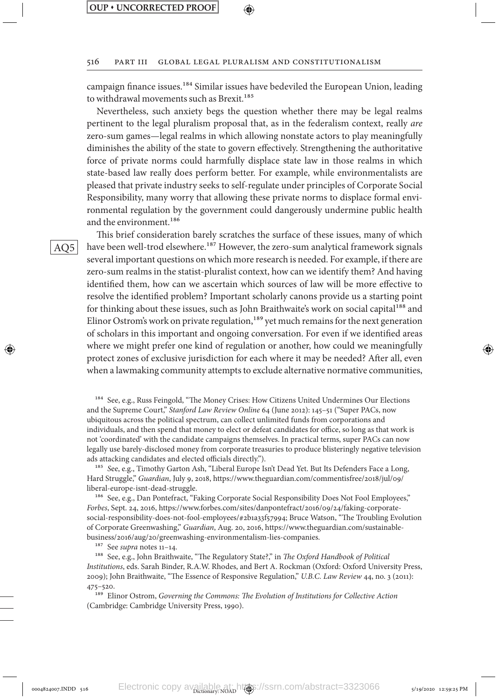#### 516 Part III Global Legal Pluralism and Constitutionalism

campaign finance issues.184 Similar issues have bedeviled the European Union, leading to withdrawal movements such as Brexit.<sup>185</sup>

Nevertheless, such anxiety begs the question whether there may be legal realms pertinent to the legal pluralism proposal that, as in the federalism context, really *are* zero-sum games—legal realms in which allowing nonstate actors to play meaningfully diminishes the ability of the state to govern effectively. Strengthening the authoritative force of private norms could harmfully displace state law in those realms in which state-based law really does perform better. For example, while environmentalists are pleased that private industry seeks to self-regulate under principles of Corporate Social Responsibility, many worry that allowing these private norms to displace formal environmental regulation by the government could dangerously undermine public health and the environment.<sup>186</sup>

This brief consideration barely scratches the surface of these issues, many of which have been well-trod elsewhere.<sup>187</sup> However, the zero-sum analytical framework signals several important questions on which more research is needed. For example, if there are zero-sum realms in the statist-pluralist context, how can we identify them? And having identified them, how can we ascertain which sources of law will be more effective to resolve the identified problem? Important scholarly canons provide us a starting point for thinking about these issues, such as John Braithwaite's work on social capital<sup>188</sup> and Elinor Ostrom's work on private regulation,<sup>189</sup> yet much remains for the next generation of scholars in this important and ongoing conversation. For even if we identified areas where we might prefer one kind of regulation or another, how could we meaningfully protect zones of exclusive jurisdiction for each where it may be needed? After all, even when a lawmaking community attempts to exclude alternative normative communities,

<sup>184</sup> See, e.g., Russ Feingold, "The Money Crises: How Citizens United Undermines Our Elections and the Supreme Court," *Stanford Law Review Online* 64 (June 2012): 145–51 ("Super PACs, now ubiquitous across the political spectrum, can collect unlimited funds from corporations and individuals, and then spend that money to elect or defeat candidates for office, so long as that work is not 'coordinated' with the candidate campaigns themselves. In practical terms, super PACs can now legally use barely-disclosed money from corporate treasuries to produce blisteringly negative television ads attacking candidates and elected officials directly.").

185 See, e.g., Timothy Garton Ash, "Liberal Europe Isn't Dead Yet. But Its Defenders Face a Long, Hard Struggle," *Guardian*, July 9, 2018, https://www.theguardian.com/commentisfree/2018/jul/09/ liberal-europe-isnt-dead-struggle.

186 See, e.g., Dan Pontefract, "Faking Corporate Social Responsibility Does Not Fool Employees," *Forbes*, Sept. 24, 2016, https://www.forbes.com/sites/danpontefract/2016/09/24/faking-corporatesocial-responsibility-does-not-fool-employees/#2b1a33f57994; Bruce Watson, "The Troubling Evolution of Corporate Greenwashing," *Guardian*, Aug. 20, 2016, https://www.theguardian.com/sustainablebusiness/2016/aug/20/greenwashing-environmentalism-lies-companies.

187 See *supra* notes 11–14.

188 See, e.g., John Braithwaite, "The Regulatory State?," in *The Oxford Handbook of Political Institutions*, eds. Sarah Binder, R.A.W. Rhodes, and Bert A. Rockman (Oxford: Oxford University Press, 2009); John Braithwaite, "The Essence of Responsive Regulation," *U.B.C. Law Review* 44, no. 3 (2011): 475–520.

189 Elinor Ostrom, *Governing the Commons: The Evolution of Institutions for Collective Action* (Cambridge: Cambridge University Press, 1990).

⊕

AQ5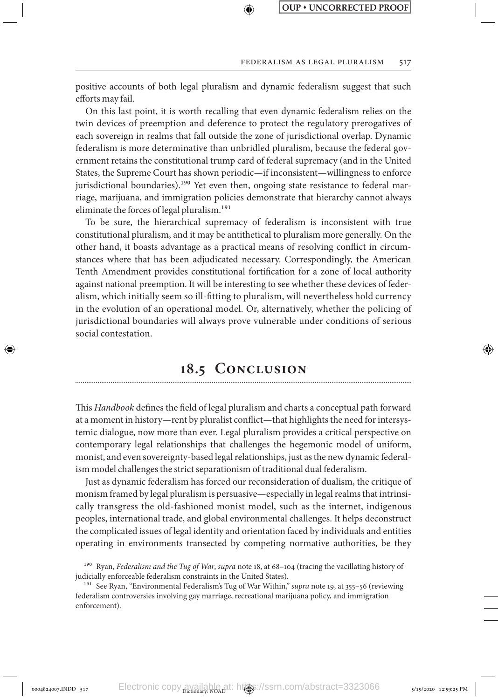positive accounts of both legal pluralism and dynamic federalism suggest that such efforts may fail.

↔

On this last point, it is worth recalling that even dynamic federalism relies on the twin devices of preemption and deference to protect the regulatory prerogatives of each sovereign in realms that fall outside the zone of jurisdictional overlap. Dynamic federalism is more determinative than unbridled pluralism, because the federal government retains the constitutional trump card of federal supremacy (and in the United States, the Supreme Court has shown periodic—if inconsistent—willingness to enforce jurisdictional boundaries).<sup>190</sup> Yet even then, ongoing state resistance to federal marriage, marijuana, and immigration policies demonstrate that hierarchy cannot always eliminate the forces of legal pluralism.<sup>191</sup>

To be sure, the hierarchical supremacy of federalism is inconsistent with true constitutional pluralism, and it may be antithetical to pluralism more generally. On the other hand, it boasts advantage as a practical means of resolving conflict in circumstances where that has been adjudicated necessary. Correspondingly, the American Tenth Amendment provides constitutional fortification for a zone of local authority against national preemption. It will be interesting to see whether these devices of federalism, which initially seem so ill-fitting to pluralism, will nevertheless hold currency in the evolution of an operational model. Or, alternatively, whether the policing of jurisdictional boundaries will always prove vulnerable under conditions of serious social contestation.

## **18.5 Conclusion**

↔

This *Handbook* defines the field of legal pluralism and charts a conceptual path forward at a moment in history—rent by pluralist conflict—that highlights the need for intersystemic dialogue, now more than ever. Legal pluralism provides a critical perspective on contemporary legal relationships that challenges the hegemonic model of uniform, monist, and even sovereignty-based legal relationships, just as the new dynamic federalism model challenges the strict separationism of traditional dual federalism.

Just as dynamic federalism has forced our reconsideration of dualism, the critique of monism framed by legal pluralism is persuasive—especially in legal realms that intrinsically transgress the old-fashioned monist model, such as the internet, indigenous peoples, international trade, and global environmental challenges. It helps deconstruct the complicated issues of legal identity and orientation faced by individuals and entities operating in environments transected by competing normative authorities, be they

<sup>190</sup> Ryan, *Federalism and the Tug of War*, *supra* note 18, at 68–104 (tracing the vacillating history of judicially enforceable federalism constraints in the United States).

<sup>&</sup>lt;sup>191</sup> See Ryan, "Environmental Federalism's Tug of War Within," *supra* note 19, at 355-56 (reviewing federalism controversies involving gay marriage, recreational marijuana policy, and immigration enforcement).